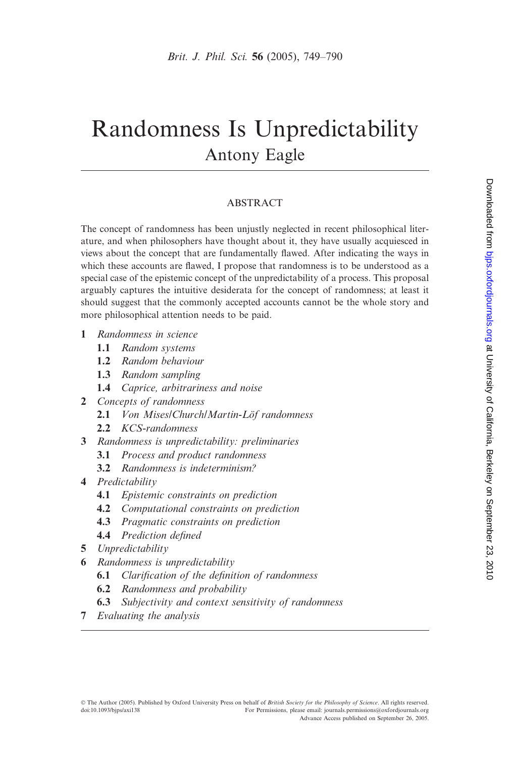# Randomness Is Unpredictability Antony Eagle

#### ABSTRACT

The concept of randomness has been unjustly neglected in recent philosophical literature, and when philosophers have thought about it, they have usually acquiesced in views about the concept that are fundamentally flawed. After indicating the ways in which these accounts are flawed, I propose that randomness is to be understood as a special case of the epistemic concept of the unpredictability of a process. This proposal arguably captures the intuitive desiderata for the concept of randomness; at least it should suggest that the commonly accepted accounts cannot be the whole story and more philosophical attention needs to be paid.

- 1 Randomness in science
	- 1.1 Random systems
	- 1.2 Random behaviour
	- 1.3 Random sampling
	- 1.4 Caprice, arbitrariness and noise
- 2 Concepts of randomness
	- 2.1 Von Mises/Church/Martin-Löf randomness
	- 2.2 KCS-randomness
- 3 Randomness is unpredictability: preliminaries
	- 3.1 Process and product randomness
	- 3.2 Randomness is indeterminism?
- 4 Predictability
	- 4.1 Epistemic constraints on prediction
	- 4.2 Computational constraints on prediction
	- 4.3 Pragmatic constraints on prediction
	- 4.4 Prediction defined
- 5 Unpredictability
- 6 Randomness is unpredictability
	- 6.1 Clarification of the definition of randomness
	- 6.2 Randomness and probability
	- 6.3 Subjectivity and context sensitivity of randomness
- 7 Evaluating the analysis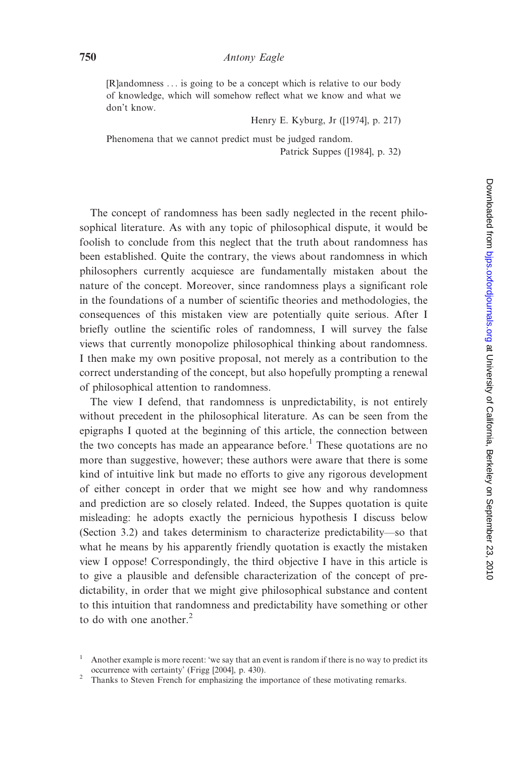[R]andomness ... is going to be a concept which is relative to our body of knowledge, which will somehow reflect what we know and what we don't know.

Henry E. Kyburg, Jr ([1974], p. 217)

Phenomena that we cannot predict must be judged random.

Patrick Suppes ([1984], p. 32)

The concept of randomness has been sadly neglected in the recent philosophical literature. As with any topic of philosophical dispute, it would be foolish to conclude from this neglect that the truth about randomness has been established. Quite the contrary, the views about randomness in which philosophers currently acquiesce are fundamentally mistaken about the nature of the concept. Moreover, since randomness plays a significant role in the foundations of a number of scientific theories and methodologies, the consequences of this mistaken view are potentially quite serious. After I briefly outline the scientific roles of randomness, I will survey the false views that currently monopolize philosophical thinking about randomness. I then make my own positive proposal, not merely as a contribution to the correct understanding of the concept, but also hopefully prompting a renewal of philosophical attention to randomness.

The view I defend, that randomness is unpredictability, is not entirely without precedent in the philosophical literature. As can be seen from the epigraphs I quoted at the beginning of this article, the connection between the two concepts has made an appearance before.<sup>1</sup> These quotations are no more than suggestive, however; these authors were aware that there is some kind of intuitive link but made no efforts to give any rigorous development of either concept in order that we might see how and why randomness and prediction are so closely related. Indeed, the Suppes quotation is quite misleading: he adopts exactly the pernicious hypothesis I discuss below (Section 3.2) and takes determinism to characterize predictability—so that what he means by his apparently friendly quotation is exactly the mistaken view I oppose! Correspondingly, the third objective I have in this article is to give a plausible and defensible characterization of the concept of predictability, in order that we might give philosophical substance and content to this intuition that randomness and predictability have something or other to do with one another. $<sup>2</sup>$ </sup>

Another example is more recent: 'we say that an event is random if there is no way to predict its occurrence with certainty' (Frigg [2004], p. 430).

<sup>&</sup>lt;sup>2</sup> Thanks to Steven French for emphasizing the importance of these motivating remarks.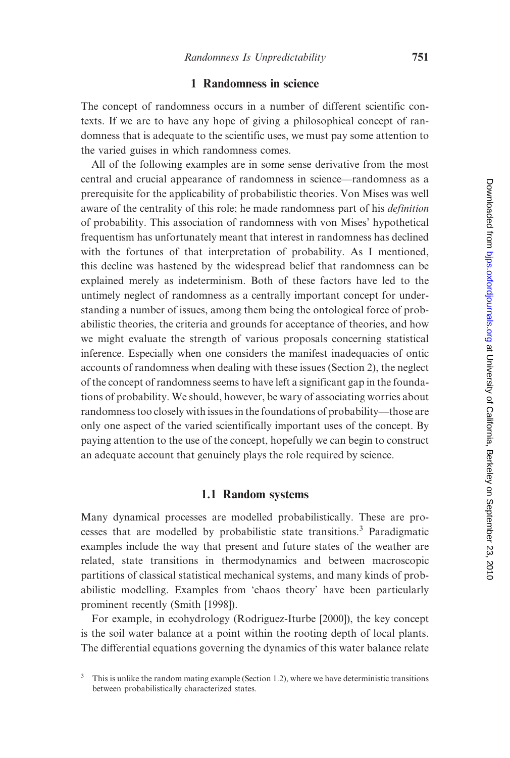#### 1 Randomness in science

The concept of randomness occurs in a number of different scientific contexts. If we are to have any hope of giving a philosophical concept of randomness that is adequate to the scientific uses, we must pay some attention to the varied guises in which randomness comes.

All of the following examples are in some sense derivative from the most central and crucial appearance of randomness in science—randomness as a prerequisite for the applicability of probabilistic theories. Von Mises was well aware of the centrality of this role; he made randomness part of his definition of probability. This association of randomness with von Mises' hypothetical frequentism has unfortunately meant that interest in randomness has declined with the fortunes of that interpretation of probability. As I mentioned, this decline was hastened by the widespread belief that randomness can be explained merely as indeterminism. Both of these factors have led to the untimely neglect of randomness as a centrally important concept for understanding a number of issues, among them being the ontological force of probabilistic theories, the criteria and grounds for acceptance of theories, and how we might evaluate the strength of various proposals concerning statistical inference. Especially when one considers the manifest inadequacies of ontic accounts of randomness when dealing with these issues (Section 2), the neglect of the concept of randomness seems to have left a significant gap in the foundations of probability. We should, however, be wary of associating worries about randomness too closely with issues in the foundations of probability—those are only one aspect of the varied scientifically important uses of the concept. By paying attention to the use of the concept, hopefully we can begin to construct an adequate account that genuinely plays the role required by science.

#### 1.1 Random systems

Many dynamical processes are modelled probabilistically. These are processes that are modelled by probabilistic state transitions.<sup>3</sup> Paradigmatic examples include the way that present and future states of the weather are related, state transitions in thermodynamics and between macroscopic partitions of classical statistical mechanical systems, and many kinds of probabilistic modelling. Examples from 'chaos theory' have been particularly prominent recently (Smith [1998]).

For example, in ecohydrology (Rodriguez-Iturbe [2000]), the key concept is the soil water balance at a point within the rooting depth of local plants. The differential equations governing the dynamics of this water balance relate

 $3$  This is unlike the random mating example (Section 1.2), where we have deterministic transitions between probabilistically characterized states.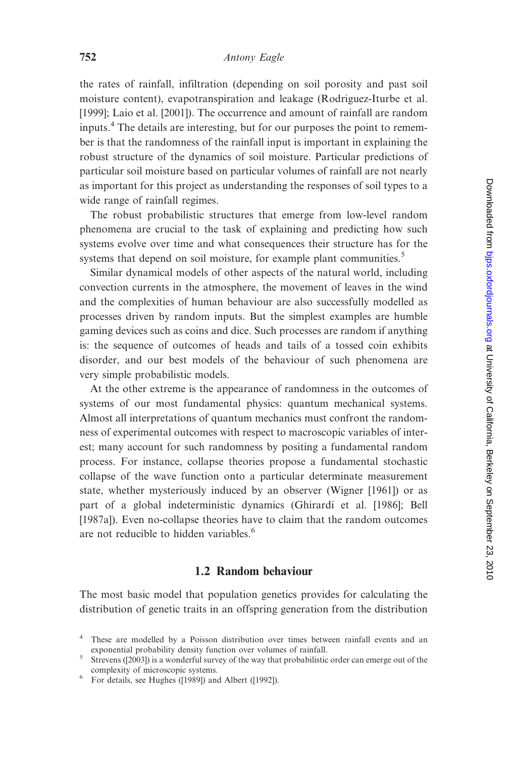the rates of rainfall, infiltration (depending on soil porosity and past soil moisture content), evapotranspiration and leakage (Rodriguez-Iturbe et al. [1999]; Laio et al. [2001]). The occurrence and amount of rainfall are random inputs.<sup>4</sup> The details are interesting, but for our purposes the point to remember is that the randomness of the rainfall input is important in explaining the robust structure of the dynamics of soil moisture. Particular predictions of particular soil moisture based on particular volumes of rainfall are not nearly as important for this project as understanding the responses of soil types to a wide range of rainfall regimes.

The robust probabilistic structures that emerge from low-level random phenomena are crucial to the task of explaining and predicting how such systems evolve over time and what consequences their structure has for the systems that depend on soil moisture, for example plant communities.<sup>5</sup>

Similar dynamical models of other aspects of the natural world, including convection currents in the atmosphere, the movement of leaves in the wind and the complexities of human behaviour are also successfully modelled as processes driven by random inputs. But the simplest examples are humble gaming devices such as coins and dice. Such processes are random if anything is: the sequence of outcomes of heads and tails of a tossed coin exhibits disorder, and our best models of the behaviour of such phenomena are very simple probabilistic models.

At the other extreme is the appearance of randomness in the outcomes of systems of our most fundamental physics: quantum mechanical systems. Almost all interpretations of quantum mechanics must confront the randomness of experimental outcomes with respect to macroscopic variables of interest; many account for such randomness by positing a fundamental random process. For instance, collapse theories propose a fundamental stochastic collapse of the wave function onto a particular determinate measurement state, whether mysteriously induced by an observer (Wigner [1961]) or as part of a global indeterministic dynamics (Ghirardi et al. [1986]; Bell [1987a]). Even no-collapse theories have to claim that the random outcomes are not reducible to hidden variables.<sup>6</sup>

## 1.2 Random behaviour

The most basic model that population genetics provides for calculating the distribution of genetic traits in an offspring generation from the distribution

These are modelled by a Poisson distribution over times between rainfall events and an exponential probability density function over volumes of rainfall.

Strevens ([2003]) is a wonderful survey of the way that probabilistic order can emerge out of the complexity of microscopic systems.

For details, see Hughes ([1989]) and Albert ([1992]).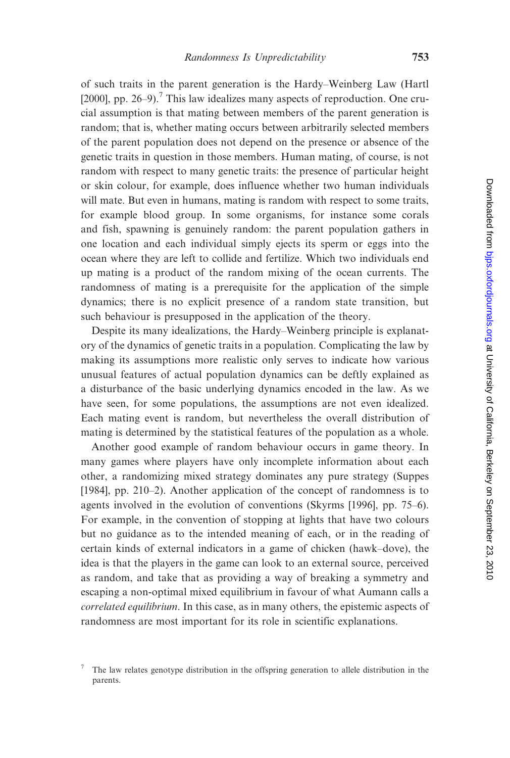of such traits in the parent generation is the Hardy–Weinberg Law (Hartl [2000], pp.  $26-9$ ].<sup>7</sup> This law idealizes many aspects of reproduction. One crucial assumption is that mating between members of the parent generation is random; that is, whether mating occurs between arbitrarily selected members of the parent population does not depend on the presence or absence of the genetic traits in question in those members. Human mating, of course, is not random with respect to many genetic traits: the presence of particular height or skin colour, for example, does influence whether two human individuals will mate. But even in humans, mating is random with respect to some traits, for example blood group. In some organisms, for instance some corals and fish, spawning is genuinely random: the parent population gathers in one location and each individual simply ejects its sperm or eggs into the ocean where they are left to collide and fertilize. Which two individuals end up mating is a product of the random mixing of the ocean currents. The randomness of mating is a prerequisite for the application of the simple dynamics; there is no explicit presence of a random state transition, but such behaviour is presupposed in the application of the theory.

Despite its many idealizations, the Hardy–Weinberg principle is explanatory of the dynamics of genetic traits in a population. Complicating the law by making its assumptions more realistic only serves to indicate how various unusual features of actual population dynamics can be deftly explained as a disturbance of the basic underlying dynamics encoded in the law. As we have seen, for some populations, the assumptions are not even idealized. Each mating event is random, but nevertheless the overall distribution of mating is determined by the statistical features of the population as a whole.

Another good example of random behaviour occurs in game theory. In many games where players have only incomplete information about each other, a randomizing mixed strategy dominates any pure strategy (Suppes [1984], pp. 210–2). Another application of the concept of randomness is to agents involved in the evolution of conventions (Skyrms [1996], pp. 75–6). For example, in the convention of stopping at lights that have two colours but no guidance as to the intended meaning of each, or in the reading of certain kinds of external indicators in a game of chicken (hawk–dove), the idea is that the players in the game can look to an external source, perceived as random, and take that as providing a way of breaking a symmetry and escaping a non-optimal mixed equilibrium in favour of what Aumann calls a correlated equilibrium. In this case, as in many others, the epistemic aspects of randomness are most important for its role in scientific explanations.

<sup>7</sup> The law relates genotype distribution in the offspring generation to allele distribution in the parents.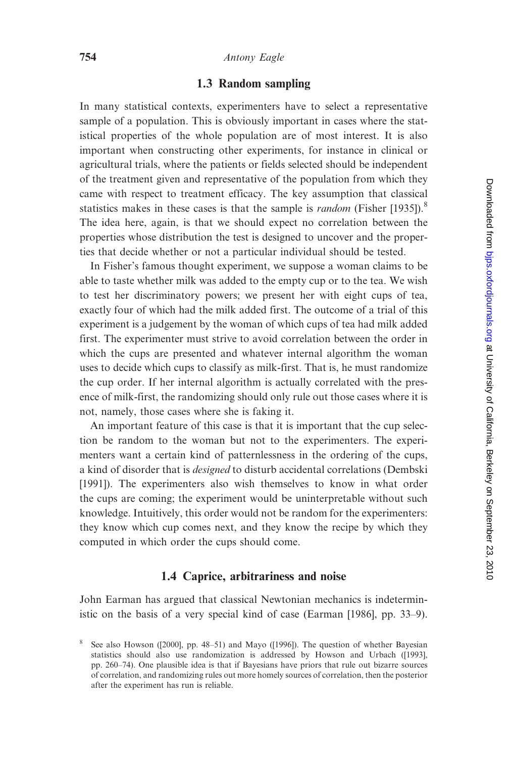#### 1.3 Random sampling

In many statistical contexts, experimenters have to select a representative sample of a population. This is obviously important in cases where the statistical properties of the whole population are of most interest. It is also important when constructing other experiments, for instance in clinical or agricultural trials, where the patients or fields selected should be independent of the treatment given and representative of the population from which they came with respect to treatment efficacy. The key assumption that classical statistics makes in these cases is that the sample is *random* (Fisher [1935]).<sup>8</sup> The idea here, again, is that we should expect no correlation between the properties whose distribution the test is designed to uncover and the properties that decide whether or not a particular individual should be tested.

In Fisher's famous thought experiment, we suppose a woman claims to be able to taste whether milk was added to the empty cup or to the tea. We wish to test her discriminatory powers; we present her with eight cups of tea, exactly four of which had the milk added first. The outcome of a trial of this experiment is a judgement by the woman of which cups of tea had milk added first. The experimenter must strive to avoid correlation between the order in which the cups are presented and whatever internal algorithm the woman uses to decide which cups to classify as milk-first. That is, he must randomize the cup order. If her internal algorithm is actually correlated with the presence of milk-first, the randomizing should only rule out those cases where it is not, namely, those cases where she is faking it.

An important feature of this case is that it is important that the cup selection be random to the woman but not to the experimenters. The experimenters want a certain kind of patternlessness in the ordering of the cups, a kind of disorder that is designed to disturb accidental correlations (Dembski [1991]). The experimenters also wish themselves to know in what order the cups are coming; the experiment would be uninterpretable without such knowledge. Intuitively, this order would not be random for the experimenters: they know which cup comes next, and they know the recipe by which they computed in which order the cups should come.

## 1.4 Caprice, arbitrariness and noise

John Earman has argued that classical Newtonian mechanics is indeterministic on the basis of a very special kind of case (Earman [1986], pp. 33–9).

<sup>8</sup> See also Howson ([2000], pp. 48–51) and Mayo ([1996]). The question of whether Bayesian statistics should also use randomization is addressed by Howson and Urbach ([1993], pp. 260–74). One plausible idea is that if Bayesians have priors that rule out bizarre sources of correlation, and randomizing rules out more homely sources of correlation, then the posterior after the experiment has run is reliable.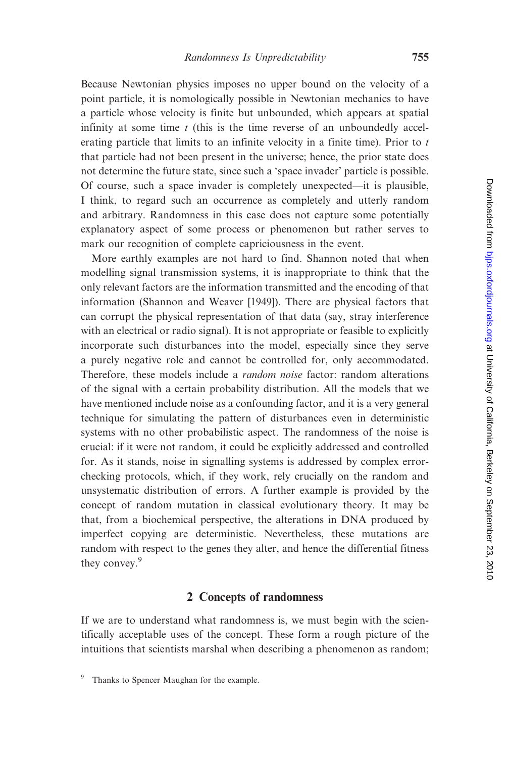Because Newtonian physics imposes no upper bound on the velocity of a point particle, it is nomologically possible in Newtonian mechanics to have a particle whose velocity is finite but unbounded, which appears at spatial infinity at some time  $t$  (this is the time reverse of an unboundedly accelerating particle that limits to an infinite velocity in a finite time). Prior to  $t$ that particle had not been present in the universe; hence, the prior state does not determine the future state, since such a 'space invader' particle is possible. Of course, such a space invader is completely unexpected—it is plausible, I think, to regard such an occurrence as completely and utterly random and arbitrary. Randomness in this case does not capture some potentially explanatory aspect of some process or phenomenon but rather serves to mark our recognition of complete capriciousness in the event.

More earthly examples are not hard to find. Shannon noted that when modelling signal transmission systems, it is inappropriate to think that the only relevant factors are the information transmitted and the encoding of that information (Shannon and Weaver [1949]). There are physical factors that can corrupt the physical representation of that data (say, stray interference with an electrical or radio signal). It is not appropriate or feasible to explicitly incorporate such disturbances into the model, especially since they serve a purely negative role and cannot be controlled for, only accommodated. Therefore, these models include a random noise factor: random alterations of the signal with a certain probability distribution. All the models that we have mentioned include noise as a confounding factor, and it is a very general technique for simulating the pattern of disturbances even in deterministic systems with no other probabilistic aspect. The randomness of the noise is crucial: if it were not random, it could be explicitly addressed and controlled for. As it stands, noise in signalling systems is addressed by complex errorchecking protocols, which, if they work, rely crucially on the random and unsystematic distribution of errors. A further example is provided by the concept of random mutation in classical evolutionary theory. It may be that, from a biochemical perspective, the alterations in DNA produced by imperfect copying are deterministic. Nevertheless, these mutations are random with respect to the genes they alter, and hence the differential fitness they convey.<sup>9</sup>

## 2 Concepts of randomness

If we are to understand what randomness is, we must begin with the scientifically acceptable uses of the concept. These form a rough picture of the intuitions that scientists marshal when describing a phenomenon as random;

Thanks to Spencer Maughan for the example.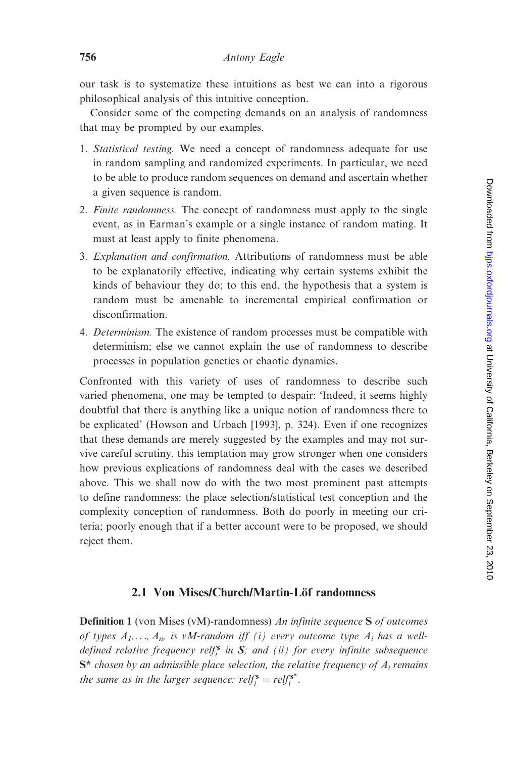our task is to systematize these intuitions as best we can into a rigorous philosophical analysis of this intuitive conception.

Consider some of the competing demands on an analysis of randomness that may be prompted by our examples.

- 1. Statistical testing. We need a concept of randomness adequate for use in random sampling and randomized experiments. In particular, we need to be able to produce random sequences on demand and ascertain whether a given sequence is random.
- 2. Finite randomness. The concept of randomness must apply to the single event, as in Earman's example or a single instance of random mating. It must at least apply to finite phenomena.
- 3. Explanation and confirmation. Attributions of randomness must be able to be explanatorily effective, indicating why certain systems exhibit the kinds of behaviour they do; to this end, the hypothesis that a system is random must be amenable to incremental empirical confirmation or disconfirmation.
- 4. Determinism. The existence of random processes must be compatible with determinism; else we cannot explain the use of randomness to describe processes in population genetics or chaotic dynamics.

Confronted with this variety of uses of randomness to describe such varied phenomena, one may be tempted to despair: 'Indeed, it seems highly doubtful that there is anything like a unique notion of randomness there to be explicated' (Howson and Urbach [1993], p. 324). Even if one recognizes that these demands are merely suggested by the examples and may not survive careful scrutiny, this temptation may grow stronger when one considers how previous explications of randomness deal with the cases we described above. This we shall now do with the two most prominent past attempts to define randomness: the place selection/statistical test conception and the complexity conception of randomness. Both do poorly in meeting our criteria; poorly enough that if a better account were to be proposed, we should reject them.

#### 2.1 Von Mises/Church/Martin-Löf randomness

**Definition 1** (von Mises (vM)-randomness) An infinite sequence S of outcomes of types  $A_1, \ldots, A_n$  is vM-random iff (i) every outcome type  $A_i$  has a welldefined relative frequency relf<sup>s</sup> in  $S$ ; and (ii) for every infinite subsequence  $S^*$  chosen by an admissible place selection, the relative frequency of  $A_i$  remains the same as in the larger sequence:  $relf_i^s = relf_i^{s^*}.$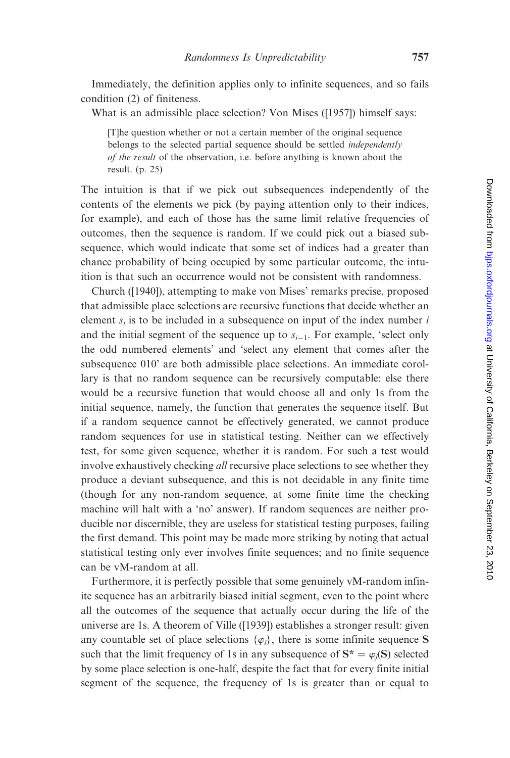Immediately, the definition applies only to infinite sequences, and so fails condition (2) of finiteness.

What is an admissible place selection? Von Mises ([1957]) himself says:

[T]he question whether or not a certain member of the original sequence belongs to the selected partial sequence should be settled independently of the result of the observation, i.e. before anything is known about the result. (p. 25)

The intuition is that if we pick out subsequences independently of the contents of the elements we pick (by paying attention only to their indices, for example), and each of those has the same limit relative frequencies of outcomes, then the sequence is random. If we could pick out a biased subsequence, which would indicate that some set of indices had a greater than chance probability of being occupied by some particular outcome, the intuition is that such an occurrence would not be consistent with randomness.

Church ([1940]), attempting to make von Mises' remarks precise, proposed that admissible place selections are recursive functions that decide whether an element  $s_i$  is to be included in a subsequence on input of the index number i and the initial segment of the sequence up to  $s_{i-1}$ . For example, 'select only the odd numbered elements' and 'select any element that comes after the subsequence 010' are both admissible place selections. An immediate corollary is that no random sequence can be recursively computable: else there would be a recursive function that would choose all and only 1s from the initial sequence, namely, the function that generates the sequence itself. But if a random sequence cannot be effectively generated, we cannot produce random sequences for use in statistical testing. Neither can we effectively test, for some given sequence, whether it is random. For such a test would involve exhaustively checking all recursive place selections to see whether they produce a deviant subsequence, and this is not decidable in any finite time (though for any non-random sequence, at some finite time the checking machine will halt with a 'no' answer). If random sequences are neither producible nor discernible, they are useless for statistical testing purposes, failing the first demand. This point may be made more striking by noting that actual statistical testing only ever involves finite sequences; and no finite sequence can be vM-random at all.

Furthermore, it is perfectly possible that some genuinely vM-random infinite sequence has an arbitrarily biased initial segment, even to the point where all the outcomes of the sequence that actually occur during the life of the universe are 1s. A theorem of Ville ([1939]) establishes a stronger result: given any countable set of place selections  $\{\varphi_i\}$ , there is some infinite sequence S such that the limit frequency of 1s in any subsequence of  $S^* = \varphi_i(S)$  selected by some place selection is one-half, despite the fact that for every finite initial segment of the sequence, the frequency of 1s is greater than or equal to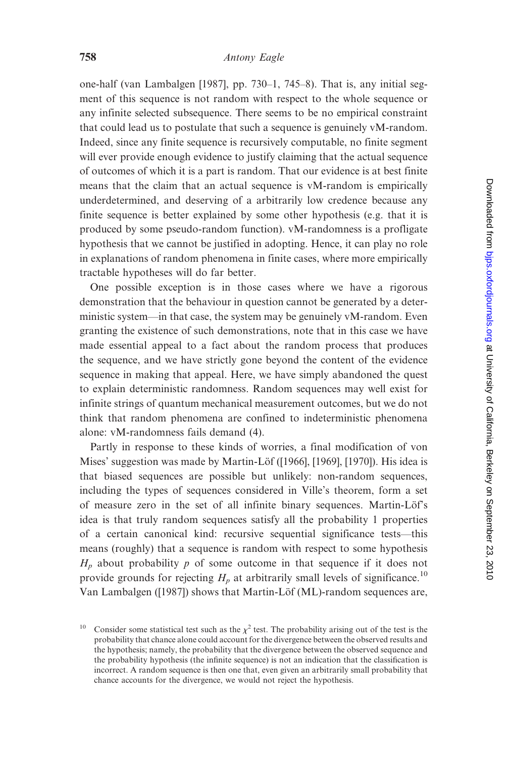one-half (van Lambalgen [1987], pp. 730–1, 745–8). That is, any initial segment of this sequence is not random with respect to the whole sequence or any infinite selected subsequence. There seems to be no empirical constraint that could lead us to postulate that such a sequence is genuinely vM-random. Indeed, since any finite sequence is recursively computable, no finite segment will ever provide enough evidence to justify claiming that the actual sequence of outcomes of which it is a part is random. That our evidence is at best finite means that the claim that an actual sequence is vM-random is empirically underdetermined, and deserving of a arbitrarily low credence because any finite sequence is better explained by some other hypothesis (e.g. that it is produced by some pseudo-random function). vM-randomness is a profligate hypothesis that we cannot be justified in adopting. Hence, it can play no role in explanations of random phenomena in finite cases, where more empirically tractable hypotheses will do far better.

One possible exception is in those cases where we have a rigorous demonstration that the behaviour in question cannot be generated by a deterministic system—in that case, the system may be genuinely vM-random. Even granting the existence of such demonstrations, note that in this case we have made essential appeal to a fact about the random process that produces the sequence, and we have strictly gone beyond the content of the evidence sequence in making that appeal. Here, we have simply abandoned the quest to explain deterministic randomness. Random sequences may well exist for infinite strings of quantum mechanical measurement outcomes, but we do not think that random phenomena are confined to indeterministic phenomena alone: vM-randomness fails demand (4).

Partly in response to these kinds of worries, a final modification of von Mises' suggestion was made by Martin-Löf ([1966], [1969], [1970]). His idea is that biased sequences are possible but unlikely: non-random sequences, including the types of sequences considered in Ville's theorem, form a set of measure zero in the set of all infinite binary sequences. Martin-Löf's idea is that truly random sequences satisfy all the probability 1 properties of a certain canonical kind: recursive sequential significance tests—this means (roughly) that a sequence is random with respect to some hypothesis  $H_p$  about probability p of some outcome in that sequence if it does not provide grounds for rejecting  $H_p$  at arbitrarily small levels of significance.<sup>10</sup> Van Lambalgen ( $[1987]$ ) shows that Martin-Löf (ML)-random sequences are,

Consider some statistical test such as the  $\chi^2$  test. The probability arising out of the test is the probability that chance alone could account for the divergence between the observed results and the hypothesis; namely, the probability that the divergence between the observed sequence and the probability hypothesis (the infinite sequence) is not an indication that the classification is incorrect. A random sequence is then one that, even given an arbitrarily small probability that chance accounts for the divergence, we would not reject the hypothesis.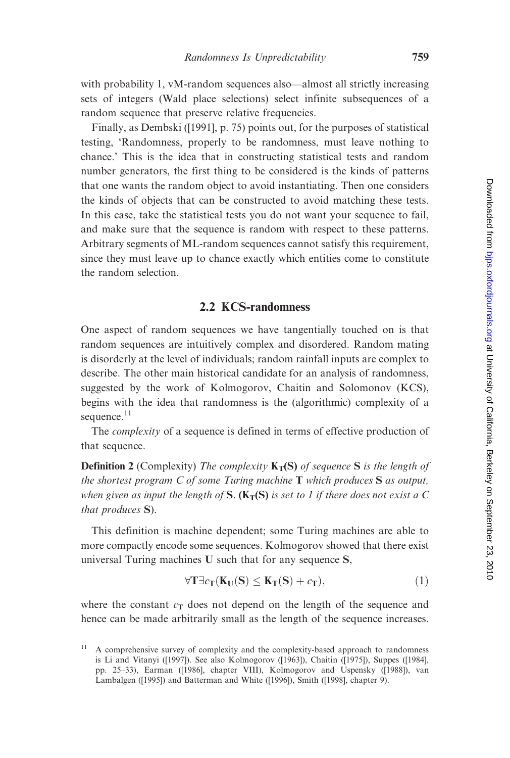with probability 1, vM-random sequences also—almost all strictly increasing sets of integers (Wald place selections) select infinite subsequences of a random sequence that preserve relative frequencies.

Finally, as Dembski ([1991], p. 75) points out, for the purposes of statistical testing, 'Randomness, properly to be randomness, must leave nothing to chance.' This is the idea that in constructing statistical tests and random number generators, the first thing to be considered is the kinds of patterns that one wants the random object to avoid instantiating. Then one considers the kinds of objects that can be constructed to avoid matching these tests. In this case, take the statistical tests you do not want your sequence to fail, and make sure that the sequence is random with respect to these patterns. Arbitrary segments of ML-random sequences cannot satisfy this requirement, since they must leave up to chance exactly which entities come to constitute the random selection.

## 2.2 KCS-randomness

One aspect of random sequences we have tangentially touched on is that random sequences are intuitively complex and disordered. Random mating is disorderly at the level of individuals; random rainfall inputs are complex to describe. The other main historical candidate for an analysis of randomness, suggested by the work of Kolmogorov, Chaitin and Solomonov (KCS), begins with the idea that randomness is the (algorithmic) complexity of a sequence.<sup>11</sup>

The complexity of a sequence is defined in terms of effective production of that sequence.

**Definition 2** (Complexity) The complexity  $K_T(S)$  of sequence S is the length of the shortest program  $C$  of some Turing machine  $T$  which produces  $S$  as output, when given as input the length of S.  $(K_T(S))$  is set to 1 if there does not exist a C that produces S).

This definition is machine dependent; some Turing machines are able to more compactly encode some sequences. Kolmogorov showed that there exist universal Turing machines U such that for any sequence S,

$$
\forall T \exists c_{T}(\mathbf{K}_{\mathbf{U}}(\mathbf{S}) \leq \mathbf{K}_{T}(\mathbf{S}) + c_{T}), \tag{1}
$$

where the constant  $c_T$  does not depend on the length of the sequence and hence can be made arbitrarily small as the length of the sequence increases.

<sup>11</sup> A comprehensive survey of complexity and the complexity-based approach to randomness is Li and Vitanyi ([1997]). See also Kolmogorov ([1963]), Chaitin ([1975]), Suppes ([1984], pp. 25–33), Earman ([1986], chapter VIII), Kolmogorov and Uspensky ([1988]), van Lambalgen ([1995]) and Batterman and White ([1996]), Smith ([1998], chapter 9).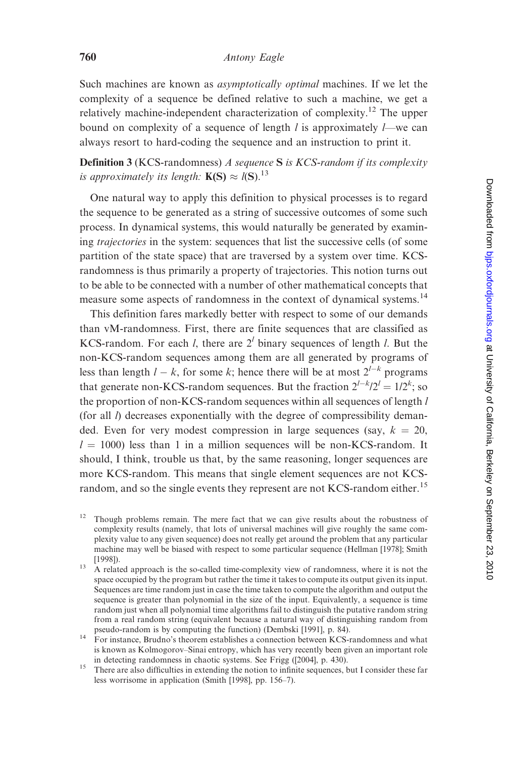#### 760 Antony Eagle

Such machines are known as asymptotically optimal machines. If we let the complexity of a sequence be defined relative to such a machine, we get a relatively machine-independent characterization of complexity.12 The upper bound on complexity of a sequence of length  $l$  is approximately  $l$ —we can always resort to hard-coding the sequence and an instruction to print it.

Definition 3 (KCS-randomness) A sequence S is KCS-random if its complexity is approximately its length:  $K(S) \approx l(S).$ <sup>13</sup>

One natural way to apply this definition to physical processes is to regard the sequence to be generated as a string of successive outcomes of some such process. In dynamical systems, this would naturally be generated by examining trajectories in the system: sequences that list the successive cells (of some partition of the state space) that are traversed by a system over time. KCSrandomness is thus primarily a property of trajectories. This notion turns out to be able to be connected with a number of other mathematical concepts that measure some aspects of randomness in the context of dynamical systems.<sup>14</sup>

This definition fares markedly better with respect to some of our demands than vM-randomness. First, there are finite sequences that are classified as KCS-random. For each *l*, there are  $2^{l}$  binary sequences of length *l*. But the non-KCS-random sequences among them are all generated by programs of less than length  $l - k$ , for some k; hence there will be at most  $2^{l-k}$  programs that generate non-KCS-random sequences. But the fraction  $2^{l-k}/2^l = 1/2^k$ ; so the proportion of non-KCS-random sequences within all sequences of length l (for all  $l$ ) decreases exponentially with the degree of compressibility demanded. Even for very modest compression in large sequences (say,  $k = 20$ ,  $l = 1000$ ) less than 1 in a million sequences will be non-KCS-random. It should, I think, trouble us that, by the same reasoning, longer sequences are more KCS-random. This means that single element sequences are not KCSrandom, and so the single events they represent are not KCS-random either.<sup>15</sup>

<sup>&</sup>lt;sup>12</sup> Though problems remain. The mere fact that we can give results about the robustness of complexity results (namely, that lots of universal machines will give roughly the same complexity value to any given sequence) does not really get around the problem that any particular machine may well be biased with respect to some particular sequence (Hellman [1978]; Smith [1998]). <sup>13</sup> A related approach is the so-called time-complexity view of randomness, where it is not the

space occupied by the program but rather the time it takes to compute its output given its input. Sequences are time random just in case the time taken to compute the algorithm and output the sequence is greater than polynomial in the size of the input. Equivalently, a sequence is time random just when all polynomial time algorithms fail to distinguish the putative random string from a real random string (equivalent because a natural way of distinguishing random from

pseudo-random is by computing the function) (Dembski [1991], p. 84).<br><sup>14</sup> For instance, Brudno's theorem establishes a connection between KCS-randomness and what is known as Kolmogorov–Sinai entropy, which has very recently been given an important role

in detecting randomness in chaotic systems. See Frigg ([2004], p. 430).<br>There are also difficulties in extending the notion to infinite sequences, but I consider these far less worrisome in application (Smith [1998], pp. 156–7).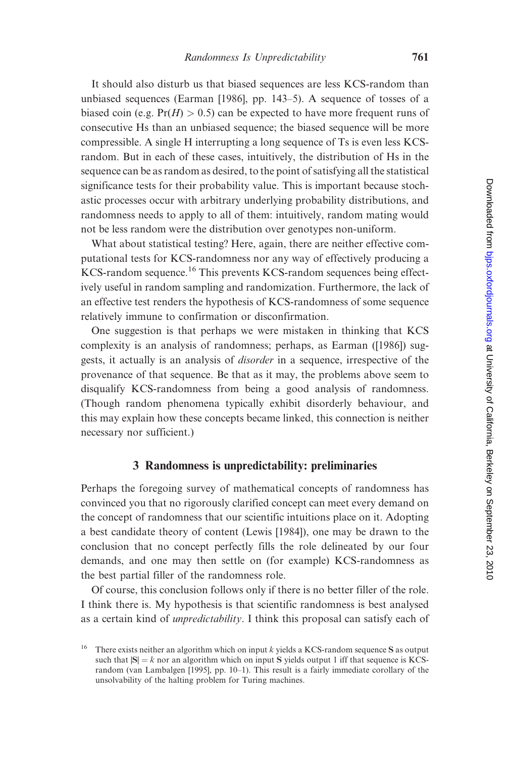It should also disturb us that biased sequences are less KCS-random than unbiased sequences (Earman [1986], pp. 143–5). A sequence of tosses of a biased coin (e.g.  $Pr(H) > 0.5$ ) can be expected to have more frequent runs of consecutive Hs than an unbiased sequence; the biased sequence will be more compressible. A single H interrupting a long sequence of Ts is even less KCSrandom. But in each of these cases, intuitively, the distribution of Hs in the sequence can be as random as desired, to the point of satisfying all the statistical significance tests for their probability value. This is important because stochastic processes occur with arbitrary underlying probability distributions, and randomness needs to apply to all of them: intuitively, random mating would not be less random were the distribution over genotypes non-uniform.

What about statistical testing? Here, again, there are neither effective computational tests for KCS-randomness nor any way of effectively producing a KCS-random sequence.<sup>16</sup> This prevents KCS-random sequences being effectively useful in random sampling and randomization. Furthermore, the lack of an effective test renders the hypothesis of KCS-randomness of some sequence relatively immune to confirmation or disconfirmation.

One suggestion is that perhaps we were mistaken in thinking that KCS complexity is an analysis of randomness; perhaps, as Earman ([1986]) suggests, it actually is an analysis of disorder in a sequence, irrespective of the provenance of that sequence. Be that as it may, the problems above seem to disqualify KCS-randomness from being a good analysis of randomness. (Though random phenomena typically exhibit disorderly behaviour, and this may explain how these concepts became linked, this connection is neither necessary nor sufficient.)

## 3 Randomness is unpredictability: preliminaries

Perhaps the foregoing survey of mathematical concepts of randomness has convinced you that no rigorously clarified concept can meet every demand on the concept of randomness that our scientific intuitions place on it. Adopting a best candidate theory of content (Lewis [1984]), one may be drawn to the conclusion that no concept perfectly fills the role delineated by our four demands, and one may then settle on (for example) KCS-randomness as the best partial filler of the randomness role.

Of course, this conclusion follows only if there is no better filler of the role. I think there is. My hypothesis is that scientific randomness is best analysed as a certain kind of unpredictability. I think this proposal can satisfy each of

There exists neither an algorithm which on input  $k$  yields a KCS-random sequence S as output such that  $|S| = k$  nor an algorithm which on input S yields output 1 iff that sequence is KCSrandom (van Lambalgen [1995], pp. 10–1). This result is a fairly immediate corollary of the unsolvability of the halting problem for Turing machines.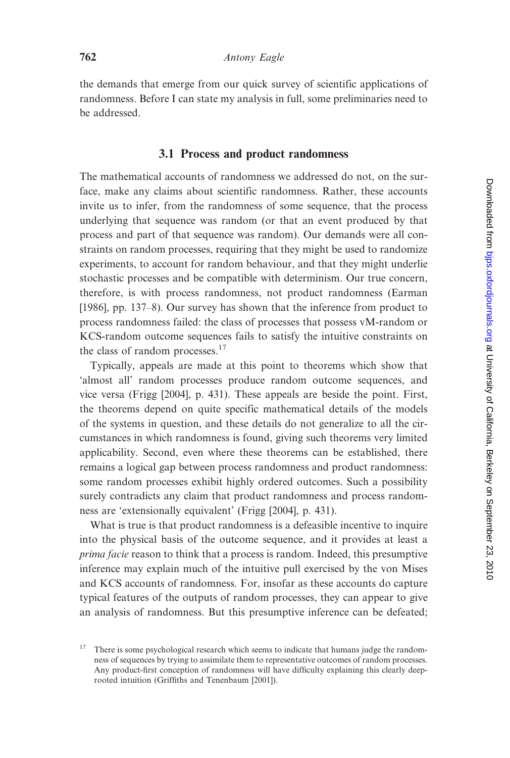the demands that emerge from our quick survey of scientific applications of randomness. Before I can state my analysis in full, some preliminaries need to be addressed.

## 3.1 Process and product randomness

The mathematical accounts of randomness we addressed do not, on the surface, make any claims about scientific randomness. Rather, these accounts invite us to infer, from the randomness of some sequence, that the process underlying that sequence was random (or that an event produced by that process and part of that sequence was random). Our demands were all constraints on random processes, requiring that they might be used to randomize experiments, to account for random behaviour, and that they might underlie stochastic processes and be compatible with determinism. Our true concern, therefore, is with process randomness, not product randomness (Earman [1986], pp. 137–8). Our survey has shown that the inference from product to process randomness failed: the class of processes that possess vM-random or KCS-random outcome sequences fails to satisfy the intuitive constraints on the class of random processes.<sup>17</sup>

Typically, appeals are made at this point to theorems which show that 'almost all' random processes produce random outcome sequences, and vice versa (Frigg [2004], p. 431). These appeals are beside the point. First, the theorems depend on quite specific mathematical details of the models of the systems in question, and these details do not generalize to all the circumstances in which randomness is found, giving such theorems very limited applicability. Second, even where these theorems can be established, there remains a logical gap between process randomness and product randomness: some random processes exhibit highly ordered outcomes. Such a possibility surely contradicts any claim that product randomness and process randomness are 'extensionally equivalent' (Frigg [2004], p. 431).

What is true is that product randomness is a defeasible incentive to inquire into the physical basis of the outcome sequence, and it provides at least a prima facie reason to think that a process is random. Indeed, this presumptive inference may explain much of the intuitive pull exercised by the von Mises and KCS accounts of randomness. For, insofar as these accounts do capture typical features of the outputs of random processes, they can appear to give an analysis of randomness. But this presumptive inference can be defeated;

<sup>17</sup> There is some psychological research which seems to indicate that humans judge the randomness of sequences by trying to assimilate them to representative outcomes of random processes. Any product-first conception of randomness will have difficulty explaining this clearly deeprooted intuition (Griffiths and Tenenbaum [2001]).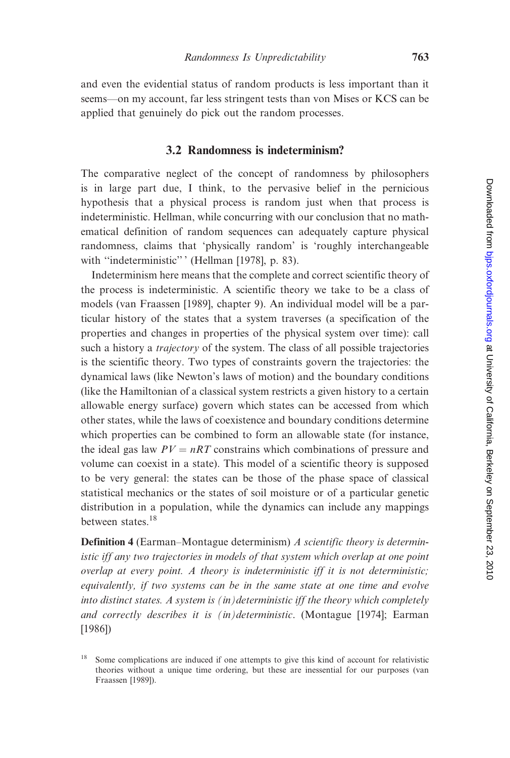and even the evidential status of random products is less important than it seems—on my account, far less stringent tests than von Mises or KCS can be applied that genuinely do pick out the random processes.

## 3.2 Randomness is indeterminism?

The comparative neglect of the concept of randomness by philosophers is in large part due, I think, to the pervasive belief in the pernicious hypothesis that a physical process is random just when that process is indeterministic. Hellman, while concurring with our conclusion that no mathematical definition of random sequences can adequately capture physical randomness, claims that 'physically random' is 'roughly interchangeable with "indeterministic" (Hellman [1978], p. 83).

Indeterminism here means that the complete and correct scientific theory of the process is indeterministic. A scientific theory we take to be a class of models (van Fraassen [1989], chapter 9). An individual model will be a particular history of the states that a system traverses (a specification of the properties and changes in properties of the physical system over time): call such a history a *trajectory* of the system. The class of all possible trajectories is the scientific theory. Two types of constraints govern the trajectories: the dynamical laws (like Newton's laws of motion) and the boundary conditions (like the Hamiltonian of a classical system restricts a given history to a certain allowable energy surface) govern which states can be accessed from which other states, while the laws of coexistence and boundary conditions determine which properties can be combined to form an allowable state (for instance, the ideal gas law  $PV = nRT$  constrains which combinations of pressure and volume can coexist in a state). This model of a scientific theory is supposed to be very general: the states can be those of the phase space of classical statistical mechanics or the states of soil moisture or of a particular genetic distribution in a population, while the dynamics can include any mappings between states.<sup>18</sup>

**Definition 4** (Earman–Montague determinism) A scientific theory is deterministic iff any two trajectories in models of that system which overlap at one point overlap at every point. A theory is indeterministic iff it is not deterministic; equivalently, if two systems can be in the same state at one time and evolve into distinct states. A system is  $(in)$  deterministic iff the theory which completely and correctly describes it is (in)deterministic. (Montague [1974]; Earman [1986])

<sup>18</sup> Some complications are induced if one attempts to give this kind of account for relativistic theories without a unique time ordering, but these are inessential for our purposes (van Fraassen [1989]).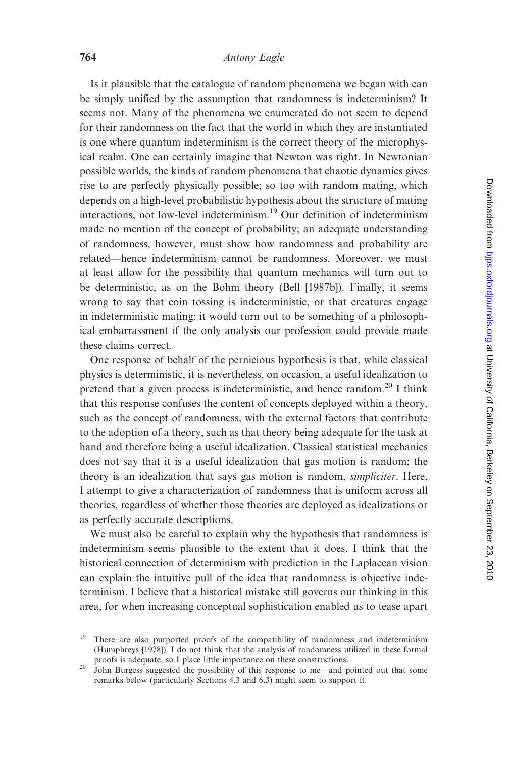## 764 Antony Eagle

Is it plausible that the catalogue of random phenomena we began with can be simply unified by the assumption that randomness is indeterminism? It seems not. Many of the phenomena we enumerated do not seem to depend for their randomness on the fact that the world in which they are instantiated is one where quantum indeterminism is the correct theory of the microphysical realm. One can certainly imagine that Newton was right. In Newtonian possible worlds, the kinds of random phenomena that chaotic dynamics gives rise to are perfectly physically possible; so too with random mating, which depends on a high-level probabilistic hypothesis about the structure of mating interactions, not low-level indeterminism.<sup>19</sup> Our definition of indeterminism made no mention of the concept of probability; an adequate understanding of randomness, however, must show how randomness and probability are related—hence indeterminism cannot be randomness. Moreover, we must at least allow for the possibility that quantum mechanics will turn out to be deterministic, as on the Bohm theory (Bell [1987b]). Finally, it seems wrong to say that coin tossing is indeterministic, or that creatures engage in indeterministic mating: it would turn out to be something of a philosophical embarrassment if the only analysis our profession could provide made these claims correct.

One response of behalf of the pernicious hypothesis is that, while classical physics is deterministic, it is nevertheless, on occasion, a useful idealization to pretend that a given process is indeterministic, and hence random.<sup>20</sup> I think that this response confuses the content of concepts deployed within a theory, such as the concept of randomness, with the external factors that contribute to the adoption of a theory, such as that theory being adequate for the task at hand and therefore being a useful idealization. Classical statistical mechanics does not say that it is a useful idealization that gas motion is random; the theory is an idealization that says gas motion is random, simpliciter. Here, I attempt to give a characterization of randomness that is uniform across all theories, regardless of whether those theories are deployed as idealizations or as perfectly accurate descriptions.

We must also be careful to explain why the hypothesis that randomness is indeterminism seems plausible to the extent that it does. I think that the historical connection of determinism with prediction in the Laplacean vision can explain the intuitive pull of the idea that randomness is objective indeterminism. I believe that a historical mistake still governs our thinking in this area, for when increasing conceptual sophistication enabled us to tease apart

<sup>&</sup>lt;sup>19</sup> There are also purported proofs of the compatibility of randomness and indeterminism (Humphreys [1978]). I do not think that the analysis of randomness utilized in these formal

John Burgess suggested the possibility of this response to me—and pointed out that some remarks below (particularly Sections 4.3 and 6.3) might seem to support it.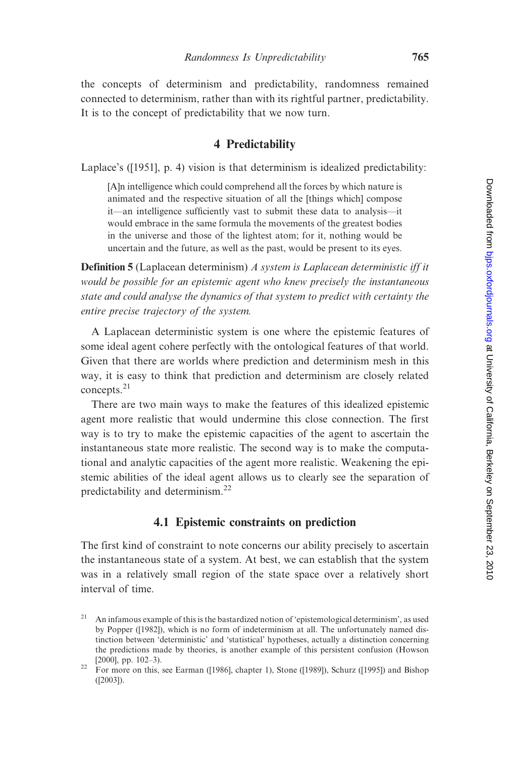the concepts of determinism and predictability, randomness remained connected to determinism, rather than with its rightful partner, predictability. It is to the concept of predictability that we now turn.

## 4 Predictability

Laplace's ([1951], p. 4) vision is that determinism is idealized predictability:

[A]n intelligence which could comprehend all the forces by which nature is animated and the respective situation of all the [things which] compose it—an intelligence sufficiently vast to submit these data to analysis—it would embrace in the same formula the movements of the greatest bodies in the universe and those of the lightest atom; for it, nothing would be uncertain and the future, as well as the past, would be present to its eyes.

**Definition 5** (Laplacean determinism) A system is Laplacean deterministic iff it would be possible for an epistemic agent who knew precisely the instantaneous state and could analyse the dynamics of that system to predict with certainty the entire precise trajectory of the system.

A Laplacean deterministic system is one where the epistemic features of some ideal agent cohere perfectly with the ontological features of that world. Given that there are worlds where prediction and determinism mesh in this way, it is easy to think that prediction and determinism are closely related concepts.<sup>21</sup>

There are two main ways to make the features of this idealized epistemic agent more realistic that would undermine this close connection. The first way is to try to make the epistemic capacities of the agent to ascertain the instantaneous state more realistic. The second way is to make the computational and analytic capacities of the agent more realistic. Weakening the epistemic abilities of the ideal agent allows us to clearly see the separation of predictability and determinism.<sup>22</sup>

## 4.1 Epistemic constraints on prediction

The first kind of constraint to note concerns our ability precisely to ascertain the instantaneous state of a system. At best, we can establish that the system was in a relatively small region of the state space over a relatively short interval of time.

<sup>21</sup> An infamous example of this is the bastardized notion of 'epistemological determinism', as used by Popper ([1982]), which is no form of indeterminism at all. The unfortunately named distinction between 'deterministic' and 'statistical' hypotheses, actually a distinction concerning the predictions made by theories, is another example of this persistent confusion (Howson [2000], pp. 102-3).

 $\frac{22}{2}$  For more on this, see Earman ([1986], chapter 1), Stone ([1989]), Schurz ([1995]) and Bishop ([2003]).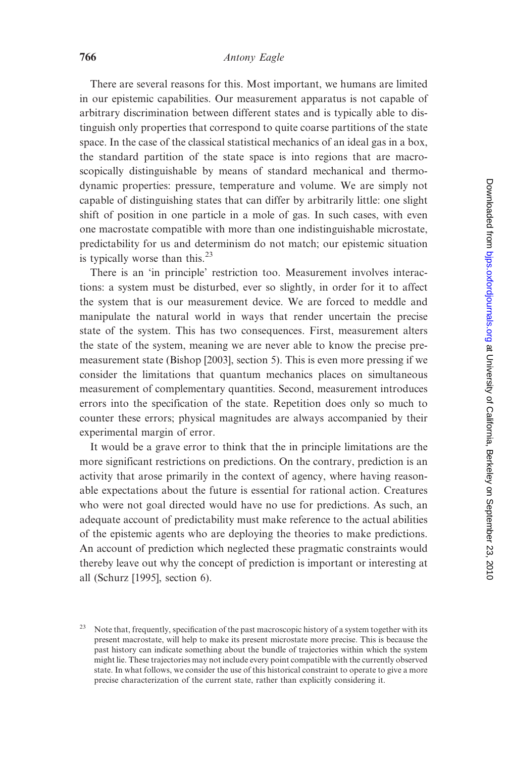## 766 Antony Eagle

There are several reasons for this. Most important, we humans are limited in our epistemic capabilities. Our measurement apparatus is not capable of arbitrary discrimination between different states and is typically able to distinguish only properties that correspond to quite coarse partitions of the state space. In the case of the classical statistical mechanics of an ideal gas in a box, the standard partition of the state space is into regions that are macroscopically distinguishable by means of standard mechanical and thermodynamic properties: pressure, temperature and volume. We are simply not capable of distinguishing states that can differ by arbitrarily little: one slight shift of position in one particle in a mole of gas. In such cases, with even one macrostate compatible with more than one indistinguishable microstate, predictability for us and determinism do not match; our epistemic situation is typically worse than this. $^{23}$ 

There is an 'in principle' restriction too. Measurement involves interactions: a system must be disturbed, ever so slightly, in order for it to affect the system that is our measurement device. We are forced to meddle and manipulate the natural world in ways that render uncertain the precise state of the system. This has two consequences. First, measurement alters the state of the system, meaning we are never able to know the precise premeasurement state (Bishop [2003], section 5). This is even more pressing if we consider the limitations that quantum mechanics places on simultaneous measurement of complementary quantities. Second, measurement introduces errors into the specification of the state. Repetition does only so much to counter these errors; physical magnitudes are always accompanied by their experimental margin of error.

It would be a grave error to think that the in principle limitations are the more significant restrictions on predictions. On the contrary, prediction is an activity that arose primarily in the context of agency, where having reasonable expectations about the future is essential for rational action. Creatures who were not goal directed would have no use for predictions. As such, an adequate account of predictability must make reference to the actual abilities of the epistemic agents who are deploying the theories to make predictions. An account of prediction which neglected these pragmatic constraints would thereby leave out why the concept of prediction is important or interesting at all (Schurz [1995], section 6).

<sup>&</sup>lt;sup>23</sup> Note that, frequently, specification of the past macroscopic history of a system together with its present macrostate, will help to make its present microstate more precise. This is because the past history can indicate something about the bundle of trajectories within which the system might lie. These trajectories may not include every point compatible with the currently observed state. In what follows, we consider the use of this historical constraint to operate to give a more precise characterization of the current state, rather than explicitly considering it.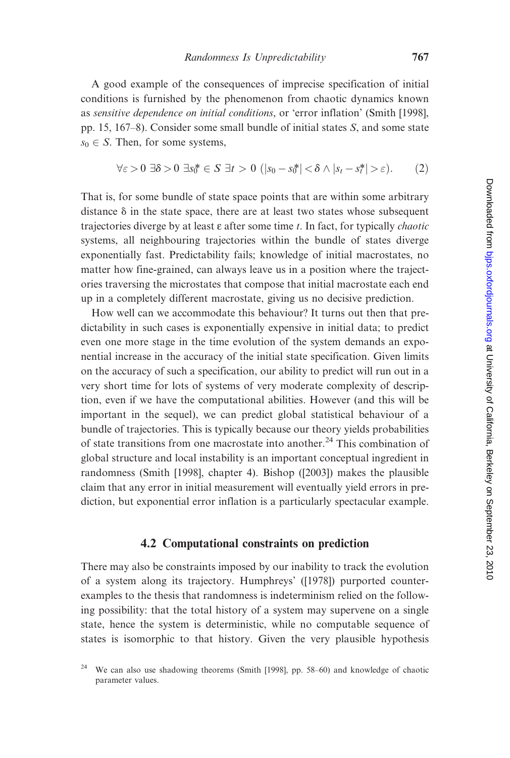A good example of the consequences of imprecise specification of initial conditions is furnished by the phenomenon from chaotic dynamics known as sensitive dependence on initial conditions, or 'error inflation' (Smith [1998], pp. 15, 167–8). Consider some small bundle of initial states S, and some state  $s_0 \in S$ . Then, for some systems,

$$
\forall \varepsilon > 0 \; \exists \delta > 0 \; \exists s^*_{0} \in S \; \exists t > 0 \; (|s_{0} - s^*_{0}| < \delta \wedge |s_{t} - s^*_{t}| > \varepsilon). \tag{2}
$$

That is, for some bundle of state space points that are within some arbitrary distance  $\delta$  in the state space, there are at least two states whose subsequent trajectories diverge by at least  $\varepsilon$  after some time  $t$ . In fact, for typically *chaotic* systems, all neighbouring trajectories within the bundle of states diverge exponentially fast. Predictability fails; knowledge of initial macrostates, no matter how fine-grained, can always leave us in a position where the trajectories traversing the microstates that compose that initial macrostate each end up in a completely different macrostate, giving us no decisive prediction.

How well can we accommodate this behaviour? It turns out then that predictability in such cases is exponentially expensive in initial data; to predict even one more stage in the time evolution of the system demands an exponential increase in the accuracy of the initial state specification. Given limits on the accuracy of such a specification, our ability to predict will run out in a very short time for lots of systems of very moderate complexity of description, even if we have the computational abilities. However (and this will be important in the sequel), we can predict global statistical behaviour of a bundle of trajectories. This is typically because our theory yields probabilities of state transitions from one macrostate into another.<sup>24</sup> This combination of global structure and local instability is an important conceptual ingredient in randomness (Smith [1998], chapter 4). Bishop ([2003]) makes the plausible claim that any error in initial measurement will eventually yield errors in prediction, but exponential error inflation is a particularly spectacular example.

## 4.2 Computational constraints on prediction

There may also be constraints imposed by our inability to track the evolution of a system along its trajectory. Humphreys' ([1978]) purported counterexamples to the thesis that randomness is indeterminism relied on the following possibility: that the total history of a system may supervene on a single state, hence the system is deterministic, while no computable sequence of states is isomorphic to that history. Given the very plausible hypothesis

We can also use shadowing theorems (Smith [1998], pp. 58-60) and knowledge of chaotic parameter values.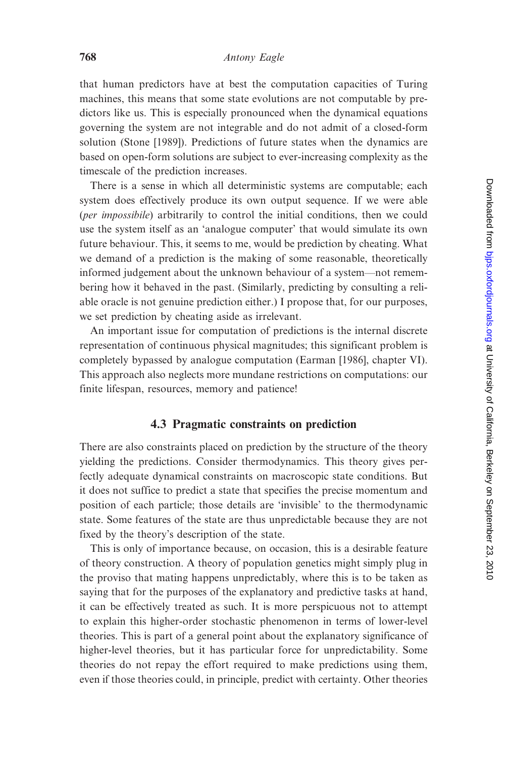## 768 Antony Eagle

that human predictors have at best the computation capacities of Turing machines, this means that some state evolutions are not computable by predictors like us. This is especially pronounced when the dynamical equations governing the system are not integrable and do not admit of a closed-form solution (Stone [1989]). Predictions of future states when the dynamics are based on open-form solutions are subject to ever-increasing complexity as the timescale of the prediction increases.

There is a sense in which all deterministic systems are computable; each system does effectively produce its own output sequence. If we were able (per impossibile) arbitrarily to control the initial conditions, then we could use the system itself as an 'analogue computer' that would simulate its own future behaviour. This, it seems to me, would be prediction by cheating. What we demand of a prediction is the making of some reasonable, theoretically informed judgement about the unknown behaviour of a system—not remembering how it behaved in the past. (Similarly, predicting by consulting a reliable oracle is not genuine prediction either.) I propose that, for our purposes, we set prediction by cheating aside as irrelevant.

An important issue for computation of predictions is the internal discrete representation of continuous physical magnitudes; this significant problem is completely bypassed by analogue computation (Earman [1986], chapter VI). This approach also neglects more mundane restrictions on computations: our finite lifespan, resources, memory and patience!

## 4.3 Pragmatic constraints on prediction

There are also constraints placed on prediction by the structure of the theory yielding the predictions. Consider thermodynamics. This theory gives perfectly adequate dynamical constraints on macroscopic state conditions. But it does not suffice to predict a state that specifies the precise momentum and position of each particle; those details are 'invisible' to the thermodynamic state. Some features of the state are thus unpredictable because they are not fixed by the theory's description of the state.

This is only of importance because, on occasion, this is a desirable feature of theory construction. A theory of population genetics might simply plug in the proviso that mating happens unpredictably, where this is to be taken as saying that for the purposes of the explanatory and predictive tasks at hand, it can be effectively treated as such. It is more perspicuous not to attempt to explain this higher-order stochastic phenomenon in terms of lower-level theories. This is part of a general point about the explanatory significance of higher-level theories, but it has particular force for unpredictability. Some theories do not repay the effort required to make predictions using them, even if those theories could, in principle, predict with certainty. Other theories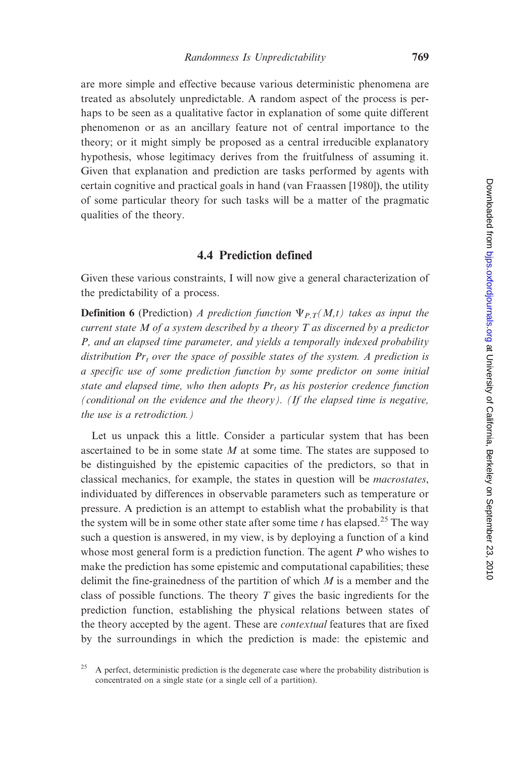are more simple and effective because various deterministic phenomena are treated as absolutely unpredictable. A random aspect of the process is perhaps to be seen as a qualitative factor in explanation of some quite different phenomenon or as an ancillary feature not of central importance to the theory; or it might simply be proposed as a central irreducible explanatory hypothesis, whose legitimacy derives from the fruitfulness of assuming it. Given that explanation and prediction are tasks performed by agents with certain cognitive and practical goals in hand (van Fraassen [1980]), the utility of some particular theory for such tasks will be a matter of the pragmatic qualities of the theory.

## 4.4 Prediction defined

Given these various constraints, I will now give a general characterization of the predictability of a process.

**Definition 6** (Prediction) A prediction function  $\Psi_{P,T}(M,t)$  takes as input the current state  $M$  of a system described by a theory  $T$  as discerned by a predictor P, and an elapsed time parameter, and yields a temporally indexed probability distribution  $Pr<sub>t</sub>$  over the space of possible states of the system. A prediction is a specific use of some prediction function by some predictor on some initial state and elapsed time, who then adopts  $Pr<sub>t</sub>$  as his posterior credence function (conditional on the evidence and the theory). (If the elapsed time is negative, the use is a retrodiction.)

Let us unpack this a little. Consider a particular system that has been ascertained to be in some state  $M$  at some time. The states are supposed to be distinguished by the epistemic capacities of the predictors, so that in classical mechanics, for example, the states in question will be macrostates, individuated by differences in observable parameters such as temperature or pressure. A prediction is an attempt to establish what the probability is that the system will be in some other state after some time t has elapsed.<sup>25</sup> The way such a question is answered, in my view, is by deploying a function of a kind whose most general form is a prediction function. The agent  $P$  who wishes to make the prediction has some epistemic and computational capabilities; these delimit the fine-grainedness of the partition of which  $M$  is a member and the class of possible functions. The theory  $T$  gives the basic ingredients for the prediction function, establishing the physical relations between states of the theory accepted by the agent. These are *contextual* features that are fixed by the surroundings in which the prediction is made: the epistemic and

<sup>25</sup> A perfect, deterministic prediction is the degenerate case where the probability distribution is concentrated on a single state (or a single cell of a partition).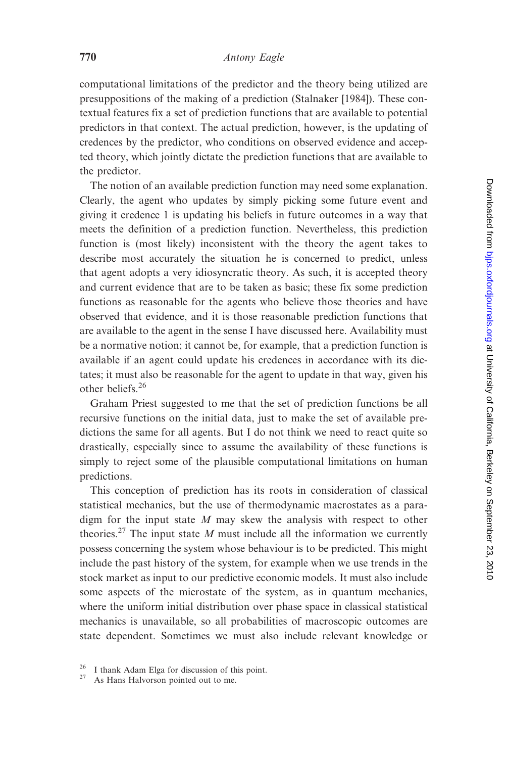#### 770 Antony Eagle

computational limitations of the predictor and the theory being utilized are presuppositions of the making of a prediction (Stalnaker [1984]). These contextual features fix a set of prediction functions that are available to potential predictors in that context. The actual prediction, however, is the updating of credences by the predictor, who conditions on observed evidence and accepted theory, which jointly dictate the prediction functions that are available to the predictor.

The notion of an available prediction function may need some explanation. Clearly, the agent who updates by simply picking some future event and giving it credence 1 is updating his beliefs in future outcomes in a way that meets the definition of a prediction function. Nevertheless, this prediction function is (most likely) inconsistent with the theory the agent takes to describe most accurately the situation he is concerned to predict, unless that agent adopts a very idiosyncratic theory. As such, it is accepted theory and current evidence that are to be taken as basic; these fix some prediction functions as reasonable for the agents who believe those theories and have observed that evidence, and it is those reasonable prediction functions that are available to the agent in the sense I have discussed here. Availability must be a normative notion; it cannot be, for example, that a prediction function is available if an agent could update his credences in accordance with its dictates; it must also be reasonable for the agent to update in that way, given his other beliefs.<sup>26</sup>

Graham Priest suggested to me that the set of prediction functions be all recursive functions on the initial data, just to make the set of available predictions the same for all agents. But I do not think we need to react quite so drastically, especially since to assume the availability of these functions is simply to reject some of the plausible computational limitations on human predictions.

This conception of prediction has its roots in consideration of classical statistical mechanics, but the use of thermodynamic macrostates as a paradigm for the input state  $M$  may skew the analysis with respect to other theories.<sup>27</sup> The input state M must include all the information we currently possess concerning the system whose behaviour is to be predicted. This might include the past history of the system, for example when we use trends in the stock market as input to our predictive economic models. It must also include some aspects of the microstate of the system, as in quantum mechanics, where the uniform initial distribution over phase space in classical statistical mechanics is unavailable, so all probabilities of macroscopic outcomes are state dependent. Sometimes we must also include relevant knowledge or

I thank Adam Elga for discussion of this point.<br>As Hans Halvorson pointed out to me.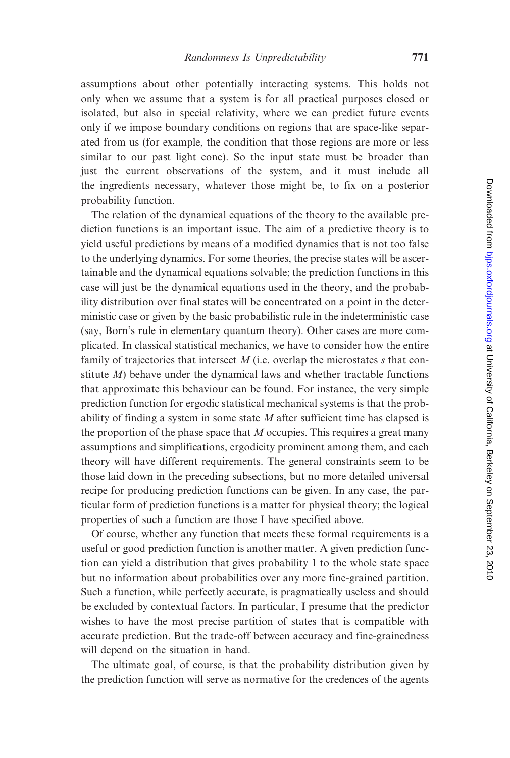assumptions about other potentially interacting systems. This holds not only when we assume that a system is for all practical purposes closed or isolated, but also in special relativity, where we can predict future events only if we impose boundary conditions on regions that are space-like separated from us (for example, the condition that those regions are more or less similar to our past light cone). So the input state must be broader than just the current observations of the system, and it must include all the ingredients necessary, whatever those might be, to fix on a posterior probability function.

The relation of the dynamical equations of the theory to the available prediction functions is an important issue. The aim of a predictive theory is to yield useful predictions by means of a modified dynamics that is not too false to the underlying dynamics. For some theories, the precise states will be ascertainable and the dynamical equations solvable; the prediction functions in this case will just be the dynamical equations used in the theory, and the probability distribution over final states will be concentrated on a point in the deterministic case or given by the basic probabilistic rule in the indeterministic case (say, Born's rule in elementary quantum theory). Other cases are more complicated. In classical statistical mechanics, we have to consider how the entire family of trajectories that intersect  $M$  (i.e. overlap the microstates  $s$  that constitute  $M$ ) behave under the dynamical laws and whether tractable functions that approximate this behaviour can be found. For instance, the very simple prediction function for ergodic statistical mechanical systems is that the probability of finding a system in some state  $M$  after sufficient time has elapsed is the proportion of the phase space that  $M$  occupies. This requires a great many assumptions and simplifications, ergodicity prominent among them, and each theory will have different requirements. The general constraints seem to be those laid down in the preceding subsections, but no more detailed universal recipe for producing prediction functions can be given. In any case, the particular form of prediction functions is a matter for physical theory; the logical properties of such a function are those I have specified above.

Of course, whether any function that meets these formal requirements is a useful or good prediction function is another matter. A given prediction function can yield a distribution that gives probability 1 to the whole state space but no information about probabilities over any more fine-grained partition. Such a function, while perfectly accurate, is pragmatically useless and should be excluded by contextual factors. In particular, I presume that the predictor wishes to have the most precise partition of states that is compatible with accurate prediction. But the trade-off between accuracy and fine-grainedness will depend on the situation in hand.

The ultimate goal, of course, is that the probability distribution given by the prediction function will serve as normative for the credences of the agents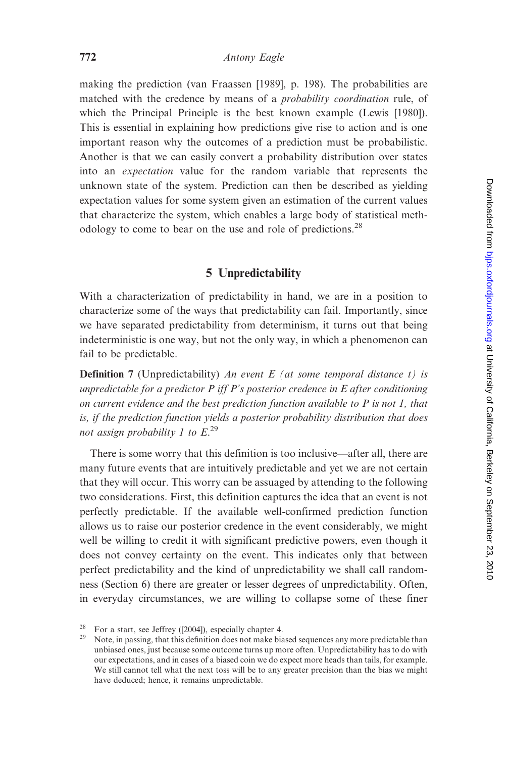making the prediction (van Fraassen [1989], p. 198). The probabilities are matched with the credence by means of a probability coordination rule, of which the Principal Principle is the best known example (Lewis [1980]). This is essential in explaining how predictions give rise to action and is one important reason why the outcomes of a prediction must be probabilistic. Another is that we can easily convert a probability distribution over states into an expectation value for the random variable that represents the unknown state of the system. Prediction can then be described as yielding expectation values for some system given an estimation of the current values that characterize the system, which enables a large body of statistical methodology to come to bear on the use and role of predictions.<sup>28</sup>

## 5 Unpredictability

With a characterization of predictability in hand, we are in a position to characterize some of the ways that predictability can fail. Importantly, since we have separated predictability from determinism, it turns out that being indeterministic is one way, but not the only way, in which a phenomenon can fail to be predictable.

**Definition 7** (Unpredictability) An event E (at some temporal distance t) is unpredictable for a predictor  $P$  iff  $P$ 's posterior credence in  $E$  after conditioning on current evidence and the best prediction function available to  $P$  is not 1, that is, if the prediction function yields a posterior probability distribution that does not assign probability 1 to  $E^{29}$ 

There is some worry that this definition is too inclusive—after all, there are many future events that are intuitively predictable and yet we are not certain that they will occur. This worry can be assuaged by attending to the following two considerations. First, this definition captures the idea that an event is not perfectly predictable. If the available well-confirmed prediction function allows us to raise our posterior credence in the event considerably, we might well be willing to credit it with significant predictive powers, even though it does not convey certainty on the event. This indicates only that between perfect predictability and the kind of unpredictability we shall call randomness (Section 6) there are greater or lesser degrees of unpredictability. Often, in everyday circumstances, we are willing to collapse some of these finer

<sup>&</sup>lt;sup>28</sup> For a start, see Jeffrey ([2004]), especially chapter 4.<br><sup>29</sup> Note, in passing, that this definition does not make biased sequences any more predictable than unbiased ones, just because some outcome turns up more often. Unpredictability has to do with our expectations, and in cases of a biased coin we do expect more heads than tails, for example. We still cannot tell what the next toss will be to any greater precision than the bias we might have deduced; hence, it remains unpredictable.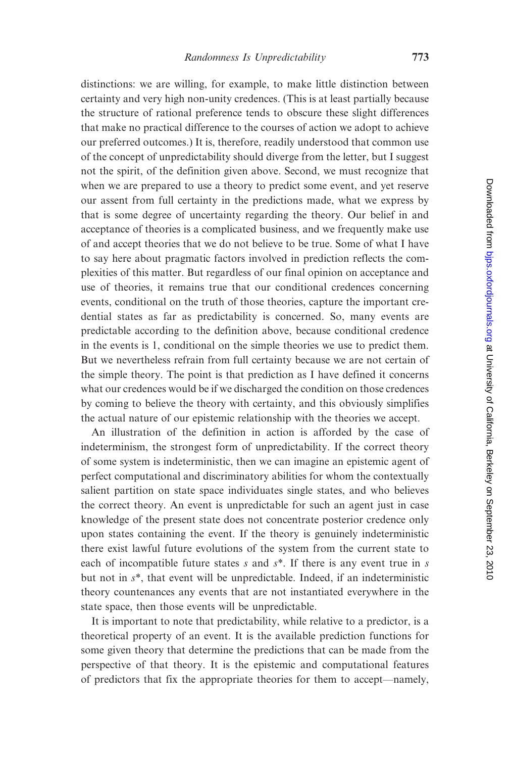distinctions: we are willing, for example, to make little distinction between certainty and very high non-unity credences. (This is at least partially because the structure of rational preference tends to obscure these slight differences that make no practical difference to the courses of action we adopt to achieve our preferred outcomes.) It is, therefore, readily understood that common use of the concept of unpredictability should diverge from the letter, but I suggest not the spirit, of the definition given above. Second, we must recognize that when we are prepared to use a theory to predict some event, and yet reserve our assent from full certainty in the predictions made, what we express by that is some degree of uncertainty regarding the theory. Our belief in and acceptance of theories is a complicated business, and we frequently make use of and accept theories that we do not believe to be true. Some of what I have to say here about pragmatic factors involved in prediction reflects the complexities of this matter. But regardless of our final opinion on acceptance and use of theories, it remains true that our conditional credences concerning events, conditional on the truth of those theories, capture the important credential states as far as predictability is concerned. So, many events are predictable according to the definition above, because conditional credence in the events is 1, conditional on the simple theories we use to predict them. But we nevertheless refrain from full certainty because we are not certain of the simple theory. The point is that prediction as I have defined it concerns what our credences would be if we discharged the condition on those credences by coming to believe the theory with certainty, and this obviously simplifies the actual nature of our epistemic relationship with the theories we accept.

An illustration of the definition in action is afforded by the case of indeterminism, the strongest form of unpredictability. If the correct theory of some system is indeterministic, then we can imagine an epistemic agent of perfect computational and discriminatory abilities for whom the contextually salient partition on state space individuates single states, and who believes the correct theory. An event is unpredictable for such an agent just in case knowledge of the present state does not concentrate posterior credence only upon states containing the event. If the theory is genuinely indeterministic there exist lawful future evolutions of the system from the current state to each of incompatible future states  $s$  and  $s^*$ . If there is any event true in  $s$ but not in s\*, that event will be unpredictable. Indeed, if an indeterministic theory countenances any events that are not instantiated everywhere in the state space, then those events will be unpredictable.

It is important to note that predictability, while relative to a predictor, is a theoretical property of an event. It is the available prediction functions for some given theory that determine the predictions that can be made from the perspective of that theory. It is the epistemic and computational features of predictors that fix the appropriate theories for them to accept—namely,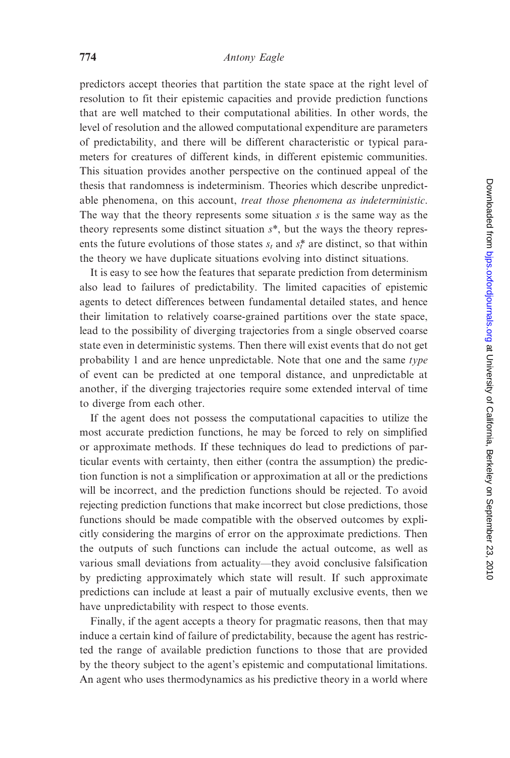predictors accept theories that partition the state space at the right level of resolution to fit their epistemic capacities and provide prediction functions that are well matched to their computational abilities. In other words, the level of resolution and the allowed computational expenditure are parameters of predictability, and there will be different characteristic or typical parameters for creatures of different kinds, in different epistemic communities. This situation provides another perspective on the continued appeal of the thesis that randomness is indeterminism. Theories which describe unpredictable phenomena, on this account, treat those phenomena as indeterministic. The way that the theory represents some situation  $s$  is the same way as the theory represents some distinct situation  $s^*$ , but the ways the theory represents the future evolutions of those states  $s_t$  and  $s_t^*$  are distinct, so that within the theory we have duplicate situations evolving into distinct situations.

It is easy to see how the features that separate prediction from determinism also lead to failures of predictability. The limited capacities of epistemic agents to detect differences between fundamental detailed states, and hence their limitation to relatively coarse-grained partitions over the state space, lead to the possibility of diverging trajectories from a single observed coarse state even in deterministic systems. Then there will exist events that do not get probability 1 and are hence unpredictable. Note that one and the same type of event can be predicted at one temporal distance, and unpredictable at another, if the diverging trajectories require some extended interval of time to diverge from each other.

If the agent does not possess the computational capacities to utilize the most accurate prediction functions, he may be forced to rely on simplified or approximate methods. If these techniques do lead to predictions of particular events with certainty, then either (contra the assumption) the prediction function is not a simplification or approximation at all or the predictions will be incorrect, and the prediction functions should be rejected. To avoid rejecting prediction functions that make incorrect but close predictions, those functions should be made compatible with the observed outcomes by explicitly considering the margins of error on the approximate predictions. Then the outputs of such functions can include the actual outcome, as well as various small deviations from actuality—they avoid conclusive falsification by predicting approximately which state will result. If such approximate predictions can include at least a pair of mutually exclusive events, then we have unpredictability with respect to those events.

Finally, if the agent accepts a theory for pragmatic reasons, then that may induce a certain kind of failure of predictability, because the agent has restricted the range of available prediction functions to those that are provided by the theory subject to the agent's epistemic and computational limitations. An agent who uses thermodynamics as his predictive theory in a world where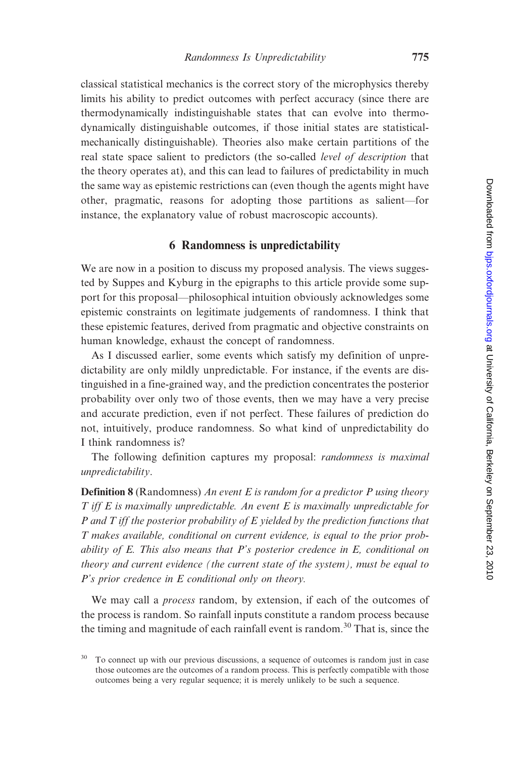classical statistical mechanics is the correct story of the microphysics thereby limits his ability to predict outcomes with perfect accuracy (since there are thermodynamically indistinguishable states that can evolve into thermodynamically distinguishable outcomes, if those initial states are statisticalmechanically distinguishable). Theories also make certain partitions of the real state space salient to predictors (the so-called level of description that the theory operates at), and this can lead to failures of predictability in much the same way as epistemic restrictions can (even though the agents might have other, pragmatic, reasons for adopting those partitions as salient—for instance, the explanatory value of robust macroscopic accounts).

## 6 Randomness is unpredictability

We are now in a position to discuss my proposed analysis. The views suggested by Suppes and Kyburg in the epigraphs to this article provide some support for this proposal—philosophical intuition obviously acknowledges some epistemic constraints on legitimate judgements of randomness. I think that these epistemic features, derived from pragmatic and objective constraints on human knowledge, exhaust the concept of randomness.

As I discussed earlier, some events which satisfy my definition of unpredictability are only mildly unpredictable. For instance, if the events are distinguished in a fine-grained way, and the prediction concentrates the posterior probability over only two of those events, then we may have a very precise and accurate prediction, even if not perfect. These failures of prediction do not, intuitively, produce randomness. So what kind of unpredictability do I think randomness is?

The following definition captures my proposal: randomness is maximal unpredictability.

**Definition 8** (Randomness) An event E is random for a predictor P using theory T iff E is maximally unpredictable. An event E is maximally unpredictable for P and  $T$  iff the posterior probability of  $E$  yielded by the prediction functions that T makes available, conditional on current evidence, is equal to the prior probability of E. This also means that P's posterior credence in E, conditional on theory and current evidence (the current state of the system), must be equal to P's prior credence in E conditional only on theory.

We may call a *process* random, by extension, if each of the outcomes of the process is random. So rainfall inputs constitute a random process because the timing and magnitude of each rainfall event is random.<sup>30</sup> That is, since the

<sup>30</sup> To connect up with our previous discussions, a sequence of outcomes is random just in case those outcomes are the outcomes of a random process. This is perfectly compatible with those outcomes being a very regular sequence; it is merely unlikely to be such a sequence.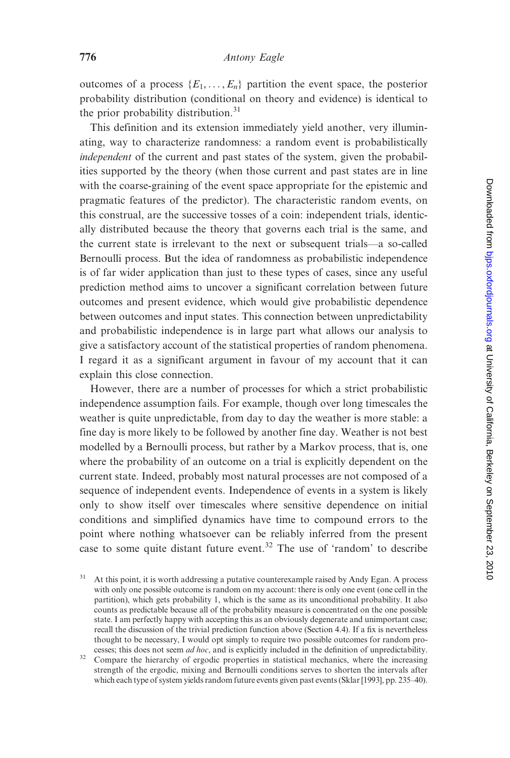outcomes of a process  $\{E_1, \ldots, E_n\}$  partition the event space, the posterior probability distribution (conditional on theory and evidence) is identical to the prior probability distribution. $31$ 

This definition and its extension immediately yield another, very illuminating, way to characterize randomness: a random event is probabilistically independent of the current and past states of the system, given the probabilities supported by the theory (when those current and past states are in line with the coarse-graining of the event space appropriate for the epistemic and pragmatic features of the predictor). The characteristic random events, on this construal, are the successive tosses of a coin: independent trials, identically distributed because the theory that governs each trial is the same, and the current state is irrelevant to the next or subsequent trials—a so-called Bernoulli process. But the idea of randomness as probabilistic independence is of far wider application than just to these types of cases, since any useful prediction method aims to uncover a significant correlation between future outcomes and present evidence, which would give probabilistic dependence between outcomes and input states. This connection between unpredictability and probabilistic independence is in large part what allows our analysis to give a satisfactory account of the statistical properties of random phenomena. I regard it as a significant argument in favour of my account that it can explain this close connection.

However, there are a number of processes for which a strict probabilistic independence assumption fails. For example, though over long timescales the weather is quite unpredictable, from day to day the weather is more stable: a fine day is more likely to be followed by another fine day. Weather is not best modelled by a Bernoulli process, but rather by a Markov process, that is, one where the probability of an outcome on a trial is explicitly dependent on the current state. Indeed, probably most natural processes are not composed of a sequence of independent events. Independence of events in a system is likely only to show itself over timescales where sensitive dependence on initial conditions and simplified dynamics have time to compound errors to the point where nothing whatsoever can be reliably inferred from the present case to some quite distant future event.<sup>32</sup> The use of 'random' to describe

<sup>&</sup>lt;sup>31</sup> At this point, it is worth addressing a putative counterexample raised by Andy Egan. A process with only one possible outcome is random on my account: there is only one event (one cell in the partition), which gets probability 1, which is the same as its unconditional probability. It also counts as predictable because all of the probability measure is concentrated on the one possible state. I am perfectly happy with accepting this as an obviously degenerate and unimportant case; recall the discussion of the trivial prediction function above (Section 4.4). If a fix is nevertheless thought to be necessary, I would opt simply to require two possible outcomes for random processes; this does not seem *ad hoc*, and is explicitly included in the definition of unpredictability.

<sup>&</sup>lt;sup>32</sup> Compare the hierarchy of ergodic properties in statistical mechanics, where the increasing. strength of the ergodic, mixing and Bernoulli conditions serves to shorten the intervals after which each type of system yields random future events given past events (Sklar [1993], pp. 235–40).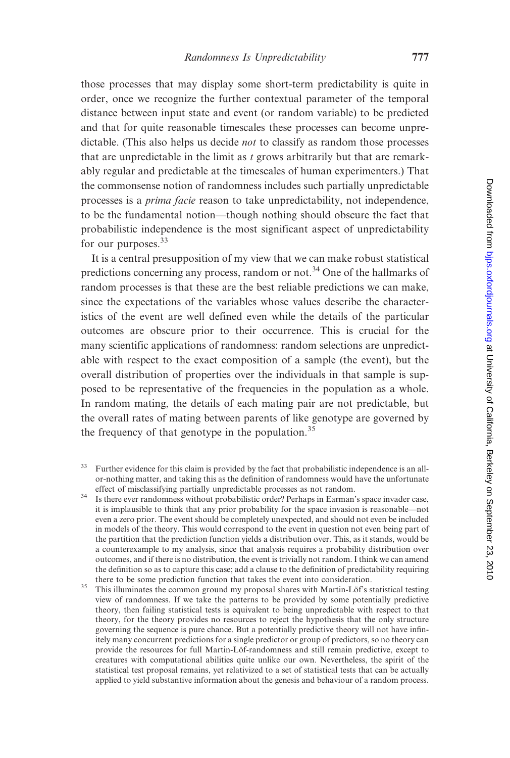those processes that may display some short-term predictability is quite in order, once we recognize the further contextual parameter of the temporal distance between input state and event (or random variable) to be predicted and that for quite reasonable timescales these processes can become unpredictable. (This also helps us decide *not* to classify as random those processes that are unpredictable in the limit as  $t$  grows arbitrarily but that are remarkably regular and predictable at the timescales of human experimenters.) That the commonsense notion of randomness includes such partially unpredictable processes is a prima facie reason to take unpredictability, not independence, to be the fundamental notion—though nothing should obscure the fact that probabilistic independence is the most significant aspect of unpredictability for our purposes.<sup>33</sup>

It is a central presupposition of my view that we can make robust statistical predictions concerning any process, random or not.<sup>34</sup> One of the hallmarks of random processes is that these are the best reliable predictions we can make, since the expectations of the variables whose values describe the characteristics of the event are well defined even while the details of the particular outcomes are obscure prior to their occurrence. This is crucial for the many scientific applications of randomness: random selections are unpredictable with respect to the exact composition of a sample (the event), but the overall distribution of properties over the individuals in that sample is supposed to be representative of the frequencies in the population as a whole. In random mating, the details of each mating pair are not predictable, but the overall rates of mating between parents of like genotype are governed by the frequency of that genotype in the population.<sup>35</sup>

- effect of misclassifying partially unpredictable processes as not random. <sup>34</sup> Is there ever randomness without probabilistic order? Perhaps in Earman's space invader case, it is implausible to think that any prior probability for the space invasion is reasonable—not even a zero prior. The event should be completely unexpected, and should not even be included in models of the theory. This would correspond to the event in question not even being part of the partition that the prediction function yields a distribution over. This, as it stands, would be a counterexample to my analysis, since that analysis requires a probability distribution over outcomes, and if there is no distribution, the event is trivially not random. I think we can amend the definition so as to capture this case; add a clause to the definition of predictability requiring
- This illuminates the common ground my proposal shares with Martin-Löf's statistical testing view of randomness. If we take the patterns to be provided by some potentially predictive theory, then failing statistical tests is equivalent to being unpredictable with respect to that theory, for the theory provides no resources to reject the hypothesis that the only structure governing the sequence is pure chance. But a potentially predictive theory will not have infinitely many concurrent predictions for a single predictor or group of predictors, so no theory can provide the resources for full Martin-Löf-randomness and still remain predictive, except to creatures with computational abilities quite unlike our own. Nevertheless, the spirit of the statistical test proposal remains, yet relativized to a set of statistical tests that can be actually applied to yield substantive information about the genesis and behaviour of a random process.

<sup>33</sup> Further evidence for this claim is provided by the fact that probabilistic independence is an allor-nothing matter, and taking this as the definition of randomness would have the unfortunate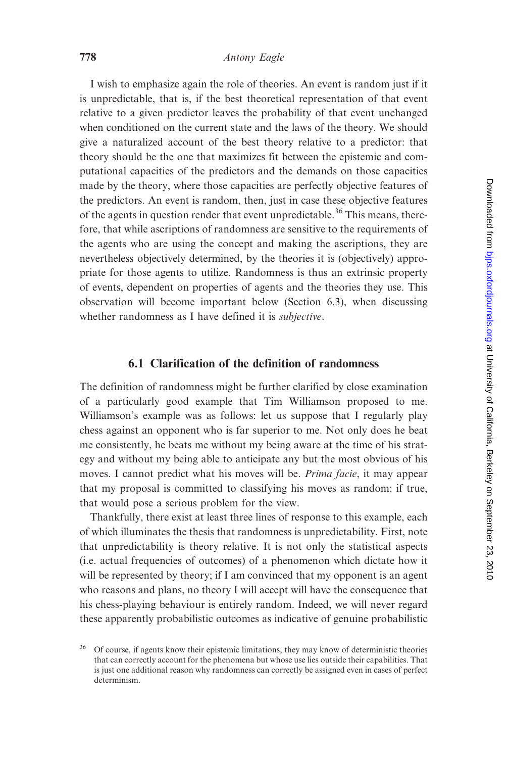## 778 Antony Eagle

I wish to emphasize again the role of theories. An event is random just if it is unpredictable, that is, if the best theoretical representation of that event relative to a given predictor leaves the probability of that event unchanged when conditioned on the current state and the laws of the theory. We should give a naturalized account of the best theory relative to a predictor: that theory should be the one that maximizes fit between the epistemic and computational capacities of the predictors and the demands on those capacities made by the theory, where those capacities are perfectly objective features of the predictors. An event is random, then, just in case these objective features of the agents in question render that event unpredictable.<sup>36</sup> This means, therefore, that while ascriptions of randomness are sensitive to the requirements of the agents who are using the concept and making the ascriptions, they are nevertheless objectively determined, by the theories it is (objectively) appropriate for those agents to utilize. Randomness is thus an extrinsic property of events, dependent on properties of agents and the theories they use. This observation will become important below (Section 6.3), when discussing whether randomness as I have defined it is subjective.

## 6.1 Clarification of the definition of randomness

The definition of randomness might be further clarified by close examination of a particularly good example that Tim Williamson proposed to me. Williamson's example was as follows: let us suppose that I regularly play chess against an opponent who is far superior to me. Not only does he beat me consistently, he beats me without my being aware at the time of his strategy and without my being able to anticipate any but the most obvious of his moves. I cannot predict what his moves will be. Prima facie, it may appear that my proposal is committed to classifying his moves as random; if true, that would pose a serious problem for the view.

Thankfully, there exist at least three lines of response to this example, each of which illuminates the thesis that randomness is unpredictability. First, note that unpredictability is theory relative. It is not only the statistical aspects (i.e. actual frequencies of outcomes) of a phenomenon which dictate how it will be represented by theory; if I am convinced that my opponent is an agent who reasons and plans, no theory I will accept will have the consequence that his chess-playing behaviour is entirely random. Indeed, we will never regard these apparently probabilistic outcomes as indicative of genuine probabilistic

<sup>36</sup> Of course, if agents know their epistemic limitations, they may know of deterministic theories that can correctly account for the phenomena but whose use lies outside their capabilities. That is just one additional reason why randomness can correctly be assigned even in cases of perfect determinism.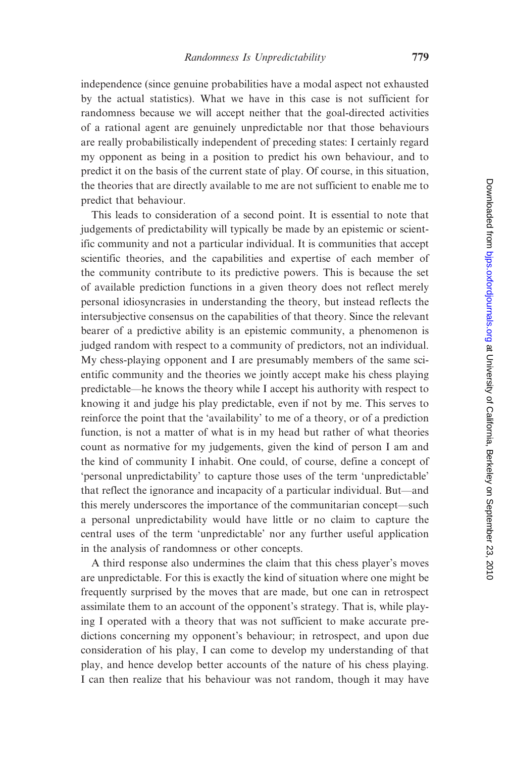independence (since genuine probabilities have a modal aspect not exhausted by the actual statistics). What we have in this case is not sufficient for randomness because we will accept neither that the goal-directed activities of a rational agent are genuinely unpredictable nor that those behaviours are really probabilistically independent of preceding states: I certainly regard my opponent as being in a position to predict his own behaviour, and to predict it on the basis of the current state of play. Of course, in this situation, the theories that are directly available to me are not sufficient to enable me to predict that behaviour.

This leads to consideration of a second point. It is essential to note that judgements of predictability will typically be made by an epistemic or scientific community and not a particular individual. It is communities that accept scientific theories, and the capabilities and expertise of each member of the community contribute to its predictive powers. This is because the set of available prediction functions in a given theory does not reflect merely personal idiosyncrasies in understanding the theory, but instead reflects the intersubjective consensus on the capabilities of that theory. Since the relevant bearer of a predictive ability is an epistemic community, a phenomenon is judged random with respect to a community of predictors, not an individual. My chess-playing opponent and I are presumably members of the same scientific community and the theories we jointly accept make his chess playing predictable—he knows the theory while I accept his authority with respect to knowing it and judge his play predictable, even if not by me. This serves to reinforce the point that the 'availability' to me of a theory, or of a prediction function, is not a matter of what is in my head but rather of what theories count as normative for my judgements, given the kind of person I am and the kind of community I inhabit. One could, of course, define a concept of 'personal unpredictability' to capture those uses of the term 'unpredictable' that reflect the ignorance and incapacity of a particular individual. But—and this merely underscores the importance of the communitarian concept—such a personal unpredictability would have little or no claim to capture the central uses of the term 'unpredictable' nor any further useful application in the analysis of randomness or other concepts.

A third response also undermines the claim that this chess player's moves are unpredictable. For this is exactly the kind of situation where one might be frequently surprised by the moves that are made, but one can in retrospect assimilate them to an account of the opponent's strategy. That is, while playing I operated with a theory that was not sufficient to make accurate predictions concerning my opponent's behaviour; in retrospect, and upon due consideration of his play, I can come to develop my understanding of that play, and hence develop better accounts of the nature of his chess playing. I can then realize that his behaviour was not random, though it may have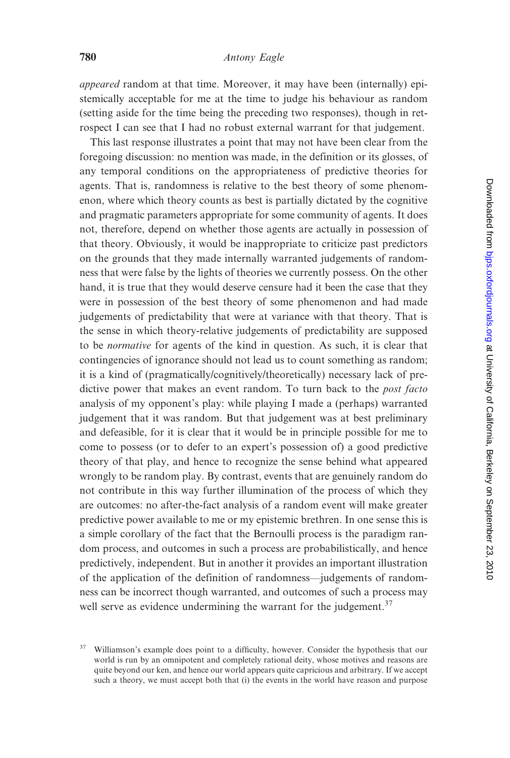appeared random at that time. Moreover, it may have been (internally) epistemically acceptable for me at the time to judge his behaviour as random (setting aside for the time being the preceding two responses), though in retrospect I can see that I had no robust external warrant for that judgement.

This last response illustrates a point that may not have been clear from the foregoing discussion: no mention was made, in the definition or its glosses, of any temporal conditions on the appropriateness of predictive theories for agents. That is, randomness is relative to the best theory of some phenomenon, where which theory counts as best is partially dictated by the cognitive and pragmatic parameters appropriate for some community of agents. It does not, therefore, depend on whether those agents are actually in possession of that theory. Obviously, it would be inappropriate to criticize past predictors on the grounds that they made internally warranted judgements of randomness that were false by the lights of theories we currently possess. On the other hand, it is true that they would deserve censure had it been the case that they were in possession of the best theory of some phenomenon and had made judgements of predictability that were at variance with that theory. That is the sense in which theory-relative judgements of predictability are supposed to be normative for agents of the kind in question. As such, it is clear that contingencies of ignorance should not lead us to count something as random; it is a kind of (pragmatically/cognitively/theoretically) necessary lack of predictive power that makes an event random. To turn back to the *post facto* analysis of my opponent's play: while playing I made a (perhaps) warranted judgement that it was random. But that judgement was at best preliminary and defeasible, for it is clear that it would be in principle possible for me to come to possess (or to defer to an expert's possession of) a good predictive theory of that play, and hence to recognize the sense behind what appeared wrongly to be random play. By contrast, events that are genuinely random do not contribute in this way further illumination of the process of which they are outcomes: no after-the-fact analysis of a random event will make greater predictive power available to me or my epistemic brethren. In one sense this is a simple corollary of the fact that the Bernoulli process is the paradigm random process, and outcomes in such a process are probabilistically, and hence predictively, independent. But in another it provides an important illustration of the application of the definition of randomness—judgements of randomness can be incorrect though warranted, and outcomes of such a process may well serve as evidence undermining the warrant for the judgement. $37$ 

Williamson's example does point to a difficulty, however. Consider the hypothesis that our world is run by an omnipotent and completely rational deity, whose motives and reasons are quite beyond our ken, and hence our world appears quite capricious and arbitrary. If we accept such a theory, we must accept both that (i) the events in the world have reason and purpose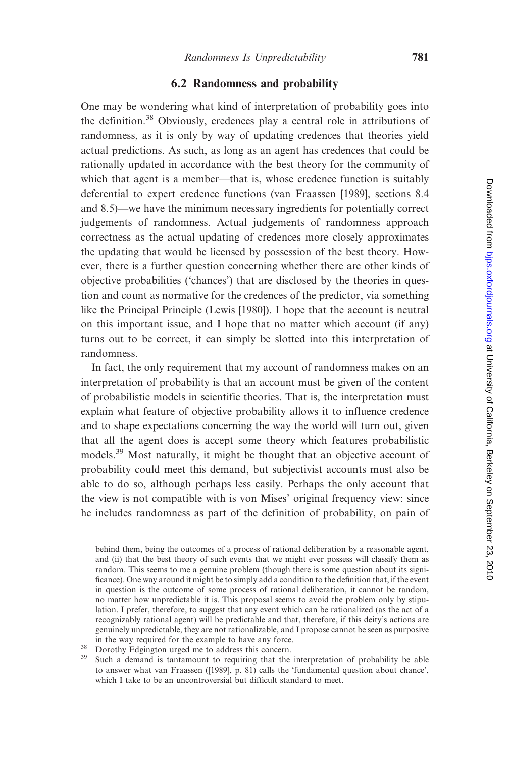#### 6.2 Randomness and probability

One may be wondering what kind of interpretation of probability goes into the definition.38 Obviously, credences play a central role in attributions of randomness, as it is only by way of updating credences that theories yield actual predictions. As such, as long as an agent has credences that could be rationally updated in accordance with the best theory for the community of which that agent is a member—that is, whose credence function is suitably deferential to expert credence functions (van Fraassen [1989], sections 8.4 and 8.5)—we have the minimum necessary ingredients for potentially correct judgements of randomness. Actual judgements of randomness approach correctness as the actual updating of credences more closely approximates the updating that would be licensed by possession of the best theory. However, there is a further question concerning whether there are other kinds of objective probabilities ('chances') that are disclosed by the theories in question and count as normative for the credences of the predictor, via something like the Principal Principle (Lewis [1980]). I hope that the account is neutral on this important issue, and I hope that no matter which account (if any) turns out to be correct, it can simply be slotted into this interpretation of randomness.

In fact, the only requirement that my account of randomness makes on an interpretation of probability is that an account must be given of the content of probabilistic models in scientific theories. That is, the interpretation must explain what feature of objective probability allows it to influence credence and to shape expectations concerning the way the world will turn out, given that all the agent does is accept some theory which features probabilistic models.<sup>39</sup> Most naturally, it might be thought that an objective account of probability could meet this demand, but subjectivist accounts must also be able to do so, although perhaps less easily. Perhaps the only account that the view is not compatible with is von Mises' original frequency view: since he includes randomness as part of the definition of probability, on pain of

behind them, being the outcomes of a process of rational deliberation by a reasonable agent, and (ii) that the best theory of such events that we might ever possess will classify them as random. This seems to me a genuine problem (though there is some question about its significance). One way around it might be to simply add a condition to the definition that, if the event in question is the outcome of some process of rational deliberation, it cannot be random, no matter how unpredictable it is. This proposal seems to avoid the problem only by stipulation. I prefer, therefore, to suggest that any event which can be rationalized (as the act of a recognizably rational agent) will be predictable and that, therefore, if this deity's actions are genuinely unpredictable, they are not rationalizable, and I propose cannot be seen as purposive

in the way required for the example to have any force.<br>38 Dorothy Edgington urged me to address this concern.<br>39 Such a demand is tantamount to requiring that the interpretation of probability be able to answer what van Fraassen ([1989], p. 81) calls the 'fundamental question about chance', which I take to be an uncontroversial but difficult standard to meet.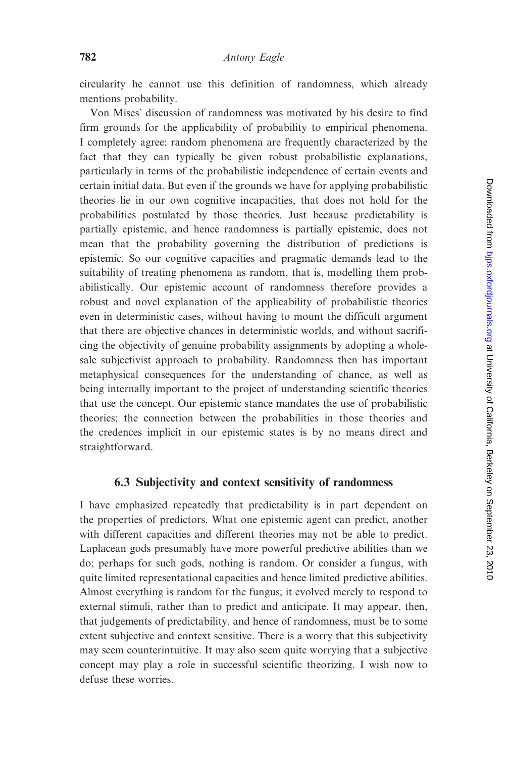circularity he cannot use this definition of randomness, which already mentions probability.

Von Mises' discussion of randomness was motivated by his desire to find firm grounds for the applicability of probability to empirical phenomena. I completely agree: random phenomena are frequently characterized by the fact that they can typically be given robust probabilistic explanations, particularly in terms of the probabilistic independence of certain events and certain initial data. But even if the grounds we have for applying probabilistic theories lie in our own cognitive incapacities, that does not hold for the probabilities postulated by those theories. Just because predictability is partially epistemic, and hence randomness is partially epistemic, does not mean that the probability governing the distribution of predictions is epistemic. So our cognitive capacities and pragmatic demands lead to the suitability of treating phenomena as random, that is, modelling them probabilistically. Our epistemic account of randomness therefore provides a robust and novel explanation of the applicability of probabilistic theories even in deterministic cases, without having to mount the difficult argument that there are objective chances in deterministic worlds, and without sacrificing the objectivity of genuine probability assignments by adopting a wholesale subjectivist approach to probability. Randomness then has important metaphysical consequences for the understanding of chance, as well as being internally important to the project of understanding scientific theories that use the concept. Our epistemic stance mandates the use of probabilistic theories; the connection between the probabilities in those theories and the credences implicit in our epistemic states is by no means direct and straightforward.

## 6.3 Subjectivity and context sensitivity of randomness

I have emphasized repeatedly that predictability is in part dependent on the properties of predictors. What one epistemic agent can predict, another with different capacities and different theories may not be able to predict. Laplacean gods presumably have more powerful predictive abilities than we do; perhaps for such gods, nothing is random. Or consider a fungus, with quite limited representational capacities and hence limited predictive abilities. Almost everything is random for the fungus; it evolved merely to respond to external stimuli, rather than to predict and anticipate. It may appear, then, that judgements of predictability, and hence of randomness, must be to some extent subjective and context sensitive. There is a worry that this subjectivity may seem counterintuitive. It may also seem quite worrying that a subjective concept may play a role in successful scientific theorizing. I wish now to defuse these worries.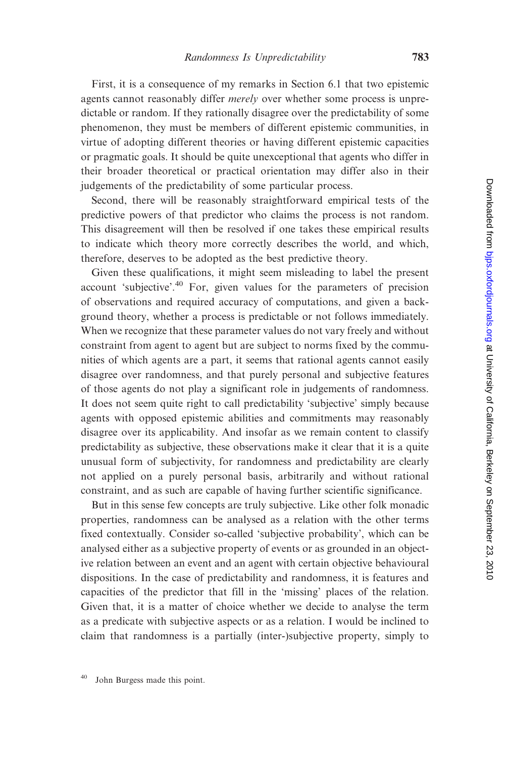First, it is a consequence of my remarks in Section 6.1 that two epistemic agents cannot reasonably differ merely over whether some process is unpredictable or random. If they rationally disagree over the predictability of some phenomenon, they must be members of different epistemic communities, in virtue of adopting different theories or having different epistemic capacities or pragmatic goals. It should be quite unexceptional that agents who differ in their broader theoretical or practical orientation may differ also in their judgements of the predictability of some particular process.

Second, there will be reasonably straightforward empirical tests of the predictive powers of that predictor who claims the process is not random. This disagreement will then be resolved if one takes these empirical results to indicate which theory more correctly describes the world, and which, therefore, deserves to be adopted as the best predictive theory.

Given these qualifications, it might seem misleading to label the present account 'subjective'.<sup>40</sup> For, given values for the parameters of precision of observations and required accuracy of computations, and given a background theory, whether a process is predictable or not follows immediately. When we recognize that these parameter values do not vary freely and without constraint from agent to agent but are subject to norms fixed by the communities of which agents are a part, it seems that rational agents cannot easily disagree over randomness, and that purely personal and subjective features of those agents do not play a significant role in judgements of randomness. It does not seem quite right to call predictability 'subjective' simply because agents with opposed epistemic abilities and commitments may reasonably disagree over its applicability. And insofar as we remain content to classify predictability as subjective, these observations make it clear that it is a quite unusual form of subjectivity, for randomness and predictability are clearly not applied on a purely personal basis, arbitrarily and without rational constraint, and as such are capable of having further scientific significance.

But in this sense few concepts are truly subjective. Like other folk monadic properties, randomness can be analysed as a relation with the other terms fixed contextually. Consider so-called 'subjective probability', which can be analysed either as a subjective property of events or as grounded in an objective relation between an event and an agent with certain objective behavioural dispositions. In the case of predictability and randomness, it is features and capacities of the predictor that fill in the 'missing' places of the relation. Given that, it is a matter of choice whether we decide to analyse the term as a predicate with subjective aspects or as a relation. I would be inclined to claim that randomness is a partially (inter-)subjective property, simply to

John Burgess made this point.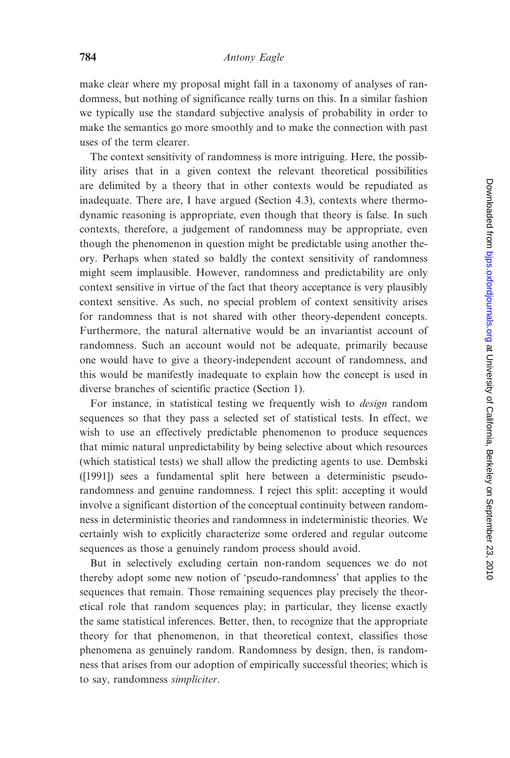make clear where my proposal might fall in a taxonomy of analyses of randomness, but nothing of significance really turns on this. In a similar fashion we typically use the standard subjective analysis of probability in order to make the semantics go more smoothly and to make the connection with past uses of the term clearer.

The context sensitivity of randomness is more intriguing. Here, the possibility arises that in a given context the relevant theoretical possibilities are delimited by a theory that in other contexts would be repudiated as inadequate. There are, I have argued (Section 4.3), contexts where thermodynamic reasoning is appropriate, even though that theory is false. In such contexts, therefore, a judgement of randomness may be appropriate, even though the phenomenon in question might be predictable using another theory. Perhaps when stated so baldly the context sensitivity of randomness might seem implausible. However, randomness and predictability are only context sensitive in virtue of the fact that theory acceptance is very plausibly context sensitive. As such, no special problem of context sensitivity arises for randomness that is not shared with other theory-dependent concepts. Furthermore, the natural alternative would be an invariantist account of randomness. Such an account would not be adequate, primarily because one would have to give a theory-independent account of randomness, and this would be manifestly inadequate to explain how the concept is used in diverse branches of scientific practice (Section 1).

For instance, in statistical testing we frequently wish to design random sequences so that they pass a selected set of statistical tests. In effect, we wish to use an effectively predictable phenomenon to produce sequences that mimic natural unpredictability by being selective about which resources (which statistical tests) we shall allow the predicting agents to use. Dembski ([1991]) sees a fundamental split here between a deterministic pseudorandomness and genuine randomness. I reject this split: accepting it would involve a significant distortion of the conceptual continuity between randomness in deterministic theories and randomness in indeterministic theories. We certainly wish to explicitly characterize some ordered and regular outcome sequences as those a genuinely random process should avoid.

But in selectively excluding certain non-random sequences we do not thereby adopt some new notion of 'pseudo-randomness' that applies to the sequences that remain. Those remaining sequences play precisely the theoretical role that random sequences play; in particular, they license exactly the same statistical inferences. Better, then, to recognize that the appropriate theory for that phenomenon, in that theoretical context, classifies those phenomena as genuinely random. Randomness by design, then, is randomness that arises from our adoption of empirically successful theories; which is to say, randomness simpliciter.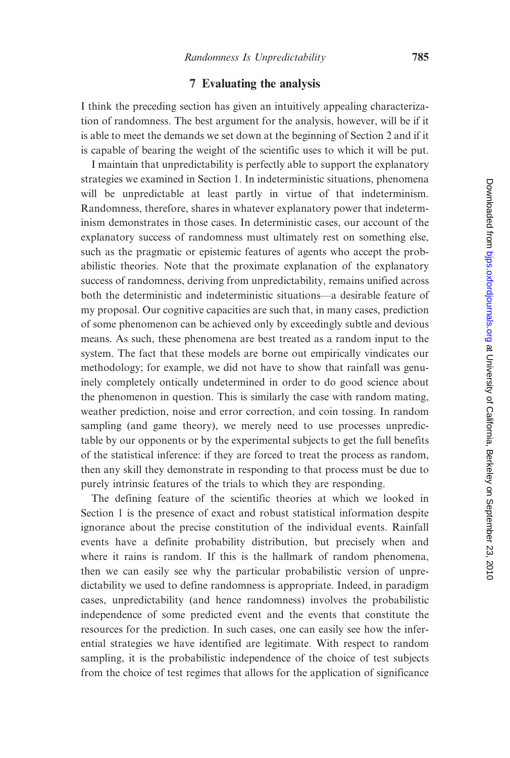## 7 Evaluating the analysis

I think the preceding section has given an intuitively appealing characterization of randomness. The best argument for the analysis, however, will be if it is able to meet the demands we set down at the beginning of Section 2 and if it is capable of bearing the weight of the scientific uses to which it will be put.

I maintain that unpredictability is perfectly able to support the explanatory strategies we examined in Section 1. In indeterministic situations, phenomena will be unpredictable at least partly in virtue of that indeterminism. Randomness, therefore, shares in whatever explanatory power that indeterminism demonstrates in those cases. In deterministic cases, our account of the explanatory success of randomness must ultimately rest on something else, such as the pragmatic or epistemic features of agents who accept the probabilistic theories. Note that the proximate explanation of the explanatory success of randomness, deriving from unpredictability, remains unified across both the deterministic and indeterministic situations—a desirable feature of my proposal. Our cognitive capacities are such that, in many cases, prediction of some phenomenon can be achieved only by exceedingly subtle and devious means. As such, these phenomena are best treated as a random input to the system. The fact that these models are borne out empirically vindicates our methodology; for example, we did not have to show that rainfall was genuinely completely ontically undetermined in order to do good science about the phenomenon in question. This is similarly the case with random mating, weather prediction, noise and error correction, and coin tossing. In random sampling (and game theory), we merely need to use processes unpredictable by our opponents or by the experimental subjects to get the full benefits of the statistical inference: if they are forced to treat the process as random, then any skill they demonstrate in responding to that process must be due to purely intrinsic features of the trials to which they are responding.

The defining feature of the scientific theories at which we looked in Section 1 is the presence of exact and robust statistical information despite ignorance about the precise constitution of the individual events. Rainfall events have a definite probability distribution, but precisely when and where it rains is random. If this is the hallmark of random phenomena, then we can easily see why the particular probabilistic version of unpredictability we used to define randomness is appropriate. Indeed, in paradigm cases, unpredictability (and hence randomness) involves the probabilistic independence of some predicted event and the events that constitute the resources for the prediction. In such cases, one can easily see how the inferential strategies we have identified are legitimate. With respect to random sampling, it is the probabilistic independence of the choice of test subjects from the choice of test regimes that allows for the application of significance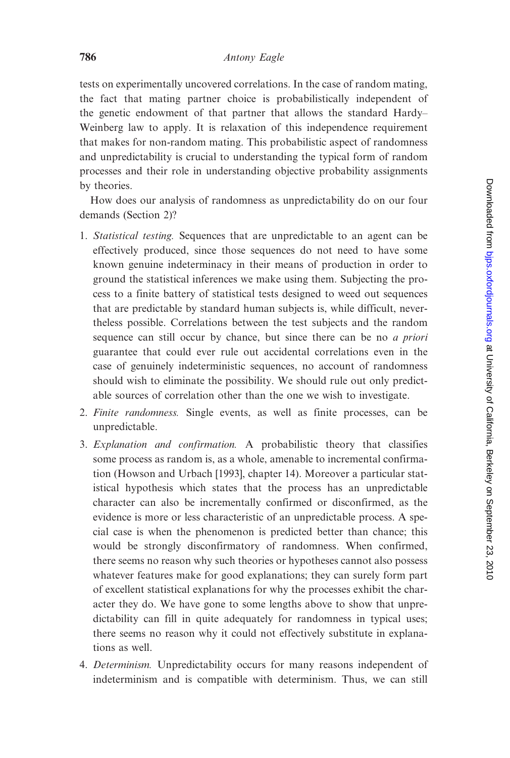tests on experimentally uncovered correlations. In the case of random mating, the fact that mating partner choice is probabilistically independent of the genetic endowment of that partner that allows the standard Hardy– Weinberg law to apply. It is relaxation of this independence requirement that makes for non-random mating. This probabilistic aspect of randomness and unpredictability is crucial to understanding the typical form of random processes and their role in understanding objective probability assignments by theories.

How does our analysis of randomness as unpredictability do on our four demands (Section 2)?

- 1. Statistical testing. Sequences that are unpredictable to an agent can be effectively produced, since those sequences do not need to have some known genuine indeterminacy in their means of production in order to ground the statistical inferences we make using them. Subjecting the process to a finite battery of statistical tests designed to weed out sequences that are predictable by standard human subjects is, while difficult, nevertheless possible. Correlations between the test subjects and the random sequence can still occur by chance, but since there can be no *a priori* guarantee that could ever rule out accidental correlations even in the case of genuinely indeterministic sequences, no account of randomness should wish to eliminate the possibility. We should rule out only predictable sources of correlation other than the one we wish to investigate.
- 2. Finite randomness. Single events, as well as finite processes, can be unpredictable.
- 3. Explanation and confirmation. A probabilistic theory that classifies some process as random is, as a whole, amenable to incremental confirmation (Howson and Urbach [1993], chapter 14). Moreover a particular statistical hypothesis which states that the process has an unpredictable character can also be incrementally confirmed or disconfirmed, as the evidence is more or less characteristic of an unpredictable process. A special case is when the phenomenon is predicted better than chance; this would be strongly disconfirmatory of randomness. When confirmed, there seems no reason why such theories or hypotheses cannot also possess whatever features make for good explanations; they can surely form part of excellent statistical explanations for why the processes exhibit the character they do. We have gone to some lengths above to show that unpredictability can fill in quite adequately for randomness in typical uses; there seems no reason why it could not effectively substitute in explanations as well.
- 4. Determinism. Unpredictability occurs for many reasons independent of indeterminism and is compatible with determinism. Thus, we can still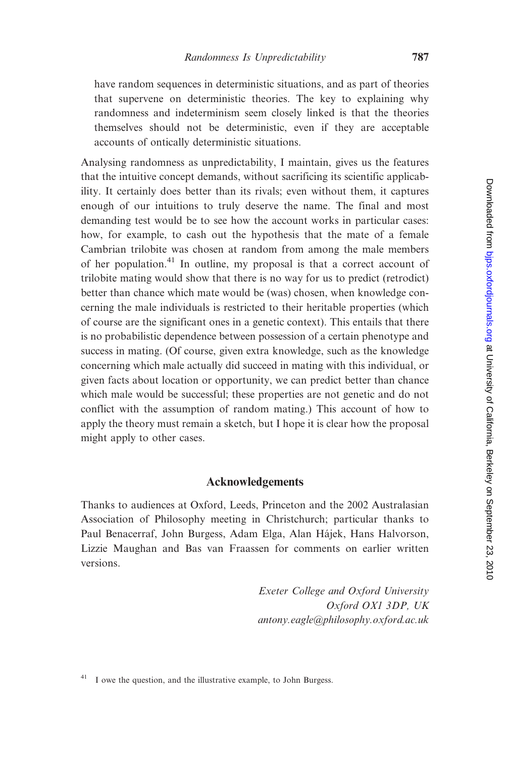have random sequences in deterministic situations, and as part of theories that supervene on deterministic theories. The key to explaining why randomness and indeterminism seem closely linked is that the theories themselves should not be deterministic, even if they are acceptable accounts of ontically deterministic situations.

Analysing randomness as unpredictability, I maintain, gives us the features that the intuitive concept demands, without sacrificing its scientific applicability. It certainly does better than its rivals; even without them, it captures enough of our intuitions to truly deserve the name. The final and most demanding test would be to see how the account works in particular cases: how, for example, to cash out the hypothesis that the mate of a female Cambrian trilobite was chosen at random from among the male members of her population.<sup>41</sup> In outline, my proposal is that a correct account of trilobite mating would show that there is no way for us to predict (retrodict) better than chance which mate would be (was) chosen, when knowledge concerning the male individuals is restricted to their heritable properties (which of course are the significant ones in a genetic context). This entails that there is no probabilistic dependence between possession of a certain phenotype and success in mating. (Of course, given extra knowledge, such as the knowledge concerning which male actually did succeed in mating with this individual, or given facts about location or opportunity, we can predict better than chance which male would be successful; these properties are not genetic and do not conflict with the assumption of random mating.) This account of how to apply the theory must remain a sketch, but I hope it is clear how the proposal might apply to other cases.

## Acknowledgements

Thanks to audiences at Oxford, Leeds, Princeton and the 2002 Australasian Association of Philosophy meeting in Christchurch; particular thanks to Paul Benacerraf, John Burgess, Adam Elga, Alan Hájek, Hans Halvorson, Lizzie Maughan and Bas van Fraassen for comments on earlier written versions.

> Exeter College and Oxford University Oxford OX1 3DP, UK antony.eagle@philosophy.oxford.ac.uk

<sup>41</sup> I owe the question, and the illustrative example, to John Burgess.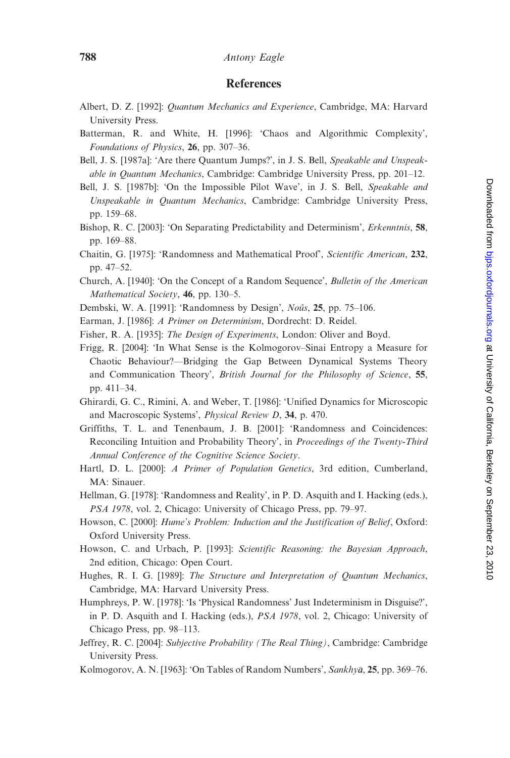## 788 Antony Eagle

#### **References**

- Albert, D. Z. [1992]: Quantum Mechanics and Experience, Cambridge, MA: Harvard University Press.
- Batterman, R. and White, H. [1996]: 'Chaos and Algorithmic Complexity', Foundations of Physics, 26, pp. 307–36.
- Bell, J. S. [1987a]: 'Are there Quantum Jumps?', in J. S. Bell, Speakable and Unspeakable in Quantum Mechanics, Cambridge: Cambridge University Press, pp. 201–12.
- Bell, J. S. [1987b]: 'On the Impossible Pilot Wave', in J. S. Bell, Speakable and Unspeakable in Quantum Mechanics, Cambridge: Cambridge University Press, pp. 159–68.
- Bishop, R. C. [2003]: 'On Separating Predictability and Determinism', *Erkenntnis*, **58**, pp. 169–88.
- Chaitin, G. [1975]: 'Randomness and Mathematical Proof', Scientific American, 232, pp. 47–52.
- Church, A. [1940]: 'On the Concept of a Random Sequence', Bulletin of the American Mathematical Society, 46, pp. 130–5.
- Dembski, W. A. [1991]: 'Randomness by Design', *Noûs*, 25, pp. 75–106.
- Earman, J. [1986]: A Primer on Determinism, Dordrecht: D. Reidel.
- Fisher, R. A. [1935]: The Design of Experiments, London: Oliver and Boyd.
- Frigg, R. [2004]: 'In What Sense is the Kolmogorov–Sinai Entropy a Measure for Chaotic Behaviour?—Bridging the Gap Between Dynamical Systems Theory and Communication Theory', British Journal for the Philosophy of Science, 55, pp. 411–34.
- Ghirardi, G. C., Rimini, A. and Weber, T. [1986]: 'Unified Dynamics for Microscopic and Macroscopic Systems', Physical Review D, 34, p. 470.
- Griffiths, T. L. and Tenenbaum, J. B. [2001]: 'Randomness and Coincidences: Reconciling Intuition and Probability Theory', in Proceedings of the Twenty-Third Annual Conference of the Cognitive Science Society.
- Hartl, D. L. [2000]: A Primer of Population Genetics, 3rd edition, Cumberland, MA: Sinauer.
- Hellman, G. [1978]: 'Randomness and Reality', in P. D. Asquith and I. Hacking (eds.), PSA 1978, vol. 2, Chicago: University of Chicago Press, pp. 79–97.
- Howson, C. [2000]: Hume's Problem: Induction and the Justification of Belief, Oxford: Oxford University Press.
- Howson, C. and Urbach, P. [1993]: Scientific Reasoning: the Bayesian Approach, 2nd edition, Chicago: Open Court.
- Hughes, R. I. G. [1989]: The Structure and Interpretation of Quantum Mechanics, Cambridge, MA: Harvard University Press.
- Humphreys, P. W. [1978]: 'Is 'Physical Randomness' Just Indeterminism in Disguise?', in P. D. Asquith and I. Hacking (eds.), PSA 1978, vol. 2, Chicago: University of Chicago Press, pp. 98–113.
- Jeffrey, R. C. [2004]: Subjective Probability (The Real Thing), Cambridge: Cambridge University Press.
- Kolmogorov, A. N. [1963]: 'On Tables of Random Numbers', Sankhya, 25, pp. 369–76.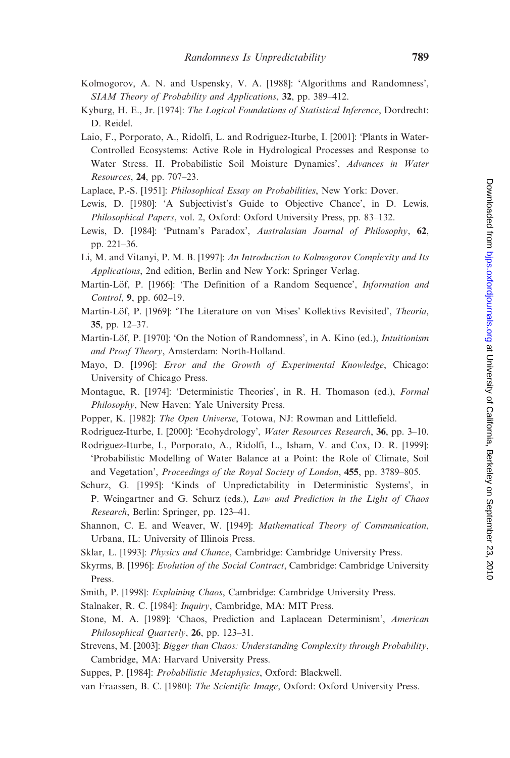- Kolmogorov, A. N. and Uspensky, V. A. [1988]: 'Algorithms and Randomness', SIAM Theory of Probability and Applications, 32, pp. 389–412.
- Kyburg, H. E., Jr. [1974]: The Logical Foundations of Statistical Inference, Dordrecht: D. Reidel.
- Laio, F., Porporato, A., Ridolfi, L. and Rodriguez-Iturbe, I. [2001]: 'Plants in Water-Controlled Ecosystems: Active Role in Hydrological Processes and Response to Water Stress. II. Probabilistic Soil Moisture Dynamics', Advances in Water Resources, 24, pp. 707–23.
- Laplace, P.-S. [1951]: Philosophical Essay on Probabilities, New York: Dover.
- Lewis, D. [1980]: 'A Subjectivist's Guide to Objective Chance', in D. Lewis, Philosophical Papers, vol. 2, Oxford: Oxford University Press, pp. 83–132.
- Lewis, D. [1984]: 'Putnam's Paradox', Australasian Journal of Philosophy, 62, pp. 221–36.
- Li, M. and Vitanyi, P. M. B. [1997]: An Introduction to Kolmogorov Complexity and Its Applications, 2nd edition, Berlin and New York: Springer Verlag.
- Martin-Löf, P. [1966]: 'The Definition of a Random Sequence', Information and Control, 9, pp. 602–19.
- Martin-Löf, P. [1969]: 'The Literature on von Mises' Kollektivs Revisited', Theoria, 35, pp. 12–37.
- Martin-Löf, P. [1970]: 'On the Notion of Randomness', in A. Kino (ed.), *Intuitionism* and Proof Theory, Amsterdam: North-Holland.
- Mayo, D. [1996]: Error and the Growth of Experimental Knowledge, Chicago: University of Chicago Press.
- Montague, R. [1974]: 'Deterministic Theories', in R. H. Thomason (ed.), Formal Philosophy, New Haven: Yale University Press.
- Popper, K. [1982]: The Open Universe, Totowa, NJ: Rowman and Littlefield.
- Rodriguez-Iturbe, I. [2000]: 'Ecohydrology', Water Resources Research, 36, pp. 3–10.
- Rodriguez-Iturbe, I., Porporato, A., Ridolfi, L., Isham, V. and Cox, D. R. [1999]: 'Probabilistic Modelling of Water Balance at a Point: the Role of Climate, Soil and Vegetation', Proceedings of the Royal Society of London, 455, pp. 3789–805.
- Schurz, G. [1995]: 'Kinds of Unpredictability in Deterministic Systems', in P. Weingartner and G. Schurz (eds.), Law and Prediction in the Light of Chaos Research, Berlin: Springer, pp. 123–41.
- Shannon, C. E. and Weaver, W. [1949]: Mathematical Theory of Communication, Urbana, IL: University of Illinois Press.
- Sklar, L. [1993]: *Physics and Chance*, Cambridge: Cambridge University Press.
- Skyrms, B. [1996]: Evolution of the Social Contract, Cambridge: Cambridge University Press.
- Smith, P. [1998]: *Explaining Chaos*, Cambridge: Cambridge University Press.
- Stalnaker, R. C. [1984]: Inquiry, Cambridge, MA: MIT Press.
- Stone, M. A. [1989]: 'Chaos, Prediction and Laplacean Determinism', American Philosophical Quarterly, 26, pp. 123–31.
- Strevens, M. [2003]: Bigger than Chaos: Understanding Complexity through Probability, Cambridge, MA: Harvard University Press.
- Suppes, P. [1984]: Probabilistic Metaphysics, Oxford: Blackwell.
- van Fraassen, B. C. [1980]: The Scientific Image, Oxford: Oxford University Press.